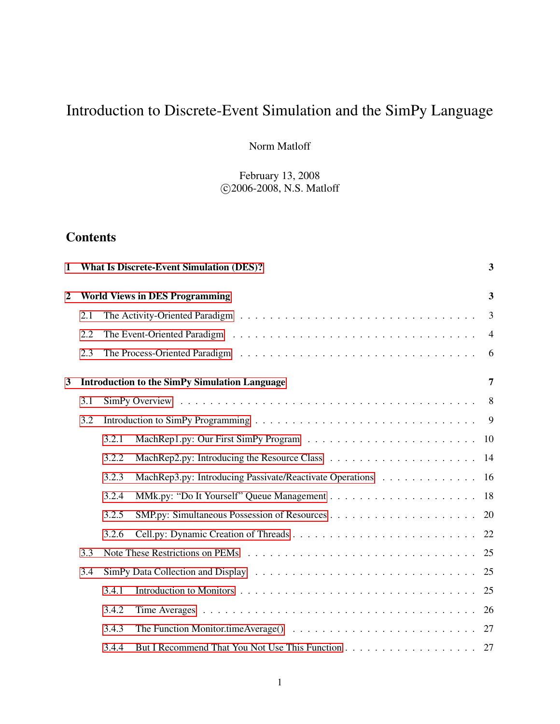# Introduction to Discrete-Event Simulation and the SimPy Language

Norm Matloff

February 13, 2008 c 2006-2008, N.S. Matloff

## **Contents**

| 1              |                                       |       | <b>What Is Discrete-Event Simulation (DES)?</b>          | 3              |  |  |
|----------------|---------------------------------------|-------|----------------------------------------------------------|----------------|--|--|
| $\overline{2}$ | <b>World Views in DES Programming</b> |       |                                                          |                |  |  |
|                | 2.1                                   |       |                                                          | 3              |  |  |
|                | 2.2                                   |       |                                                          | $\overline{4}$ |  |  |
|                | 2.3                                   |       |                                                          | 6              |  |  |
| 3              |                                       |       | <b>Introduction to the SimPy Simulation Language</b>     | 7              |  |  |
|                | 3.1                                   |       |                                                          | 8              |  |  |
|                | 3.2                                   |       |                                                          | 9              |  |  |
|                |                                       | 3.2.1 |                                                          | 10             |  |  |
|                |                                       | 3.2.2 |                                                          | 14             |  |  |
|                |                                       | 3.2.3 | MachRep3.py: Introducing Passivate/Reactivate Operations | 16             |  |  |
|                |                                       | 3.2.4 |                                                          | 18             |  |  |
|                |                                       | 3.2.5 |                                                          | 20             |  |  |
|                |                                       | 3.2.6 |                                                          | 22             |  |  |
|                | 3.3                                   |       |                                                          | 25             |  |  |
|                | 3.4                                   |       |                                                          | 25             |  |  |
|                |                                       | 3.4.1 |                                                          | 25             |  |  |
|                |                                       | 3.4.2 |                                                          | 26             |  |  |
|                |                                       | 3.4.3 |                                                          |                |  |  |
|                |                                       | 3.4.4 |                                                          | 27             |  |  |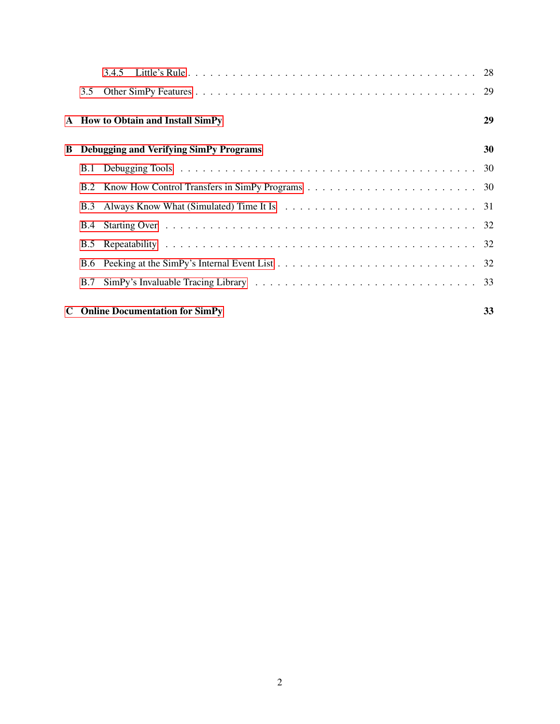|    | 3.5                                           |                                                                                                                                                                                                                               |    |  |
|----|-----------------------------------------------|-------------------------------------------------------------------------------------------------------------------------------------------------------------------------------------------------------------------------------|----|--|
|    |                                               | A How to Obtain and Install SimPy                                                                                                                                                                                             | 29 |  |
| B. | <b>Debugging and Verifying SimPy Programs</b> |                                                                                                                                                                                                                               |    |  |
|    |                                               |                                                                                                                                                                                                                               |    |  |
|    |                                               |                                                                                                                                                                                                                               |    |  |
|    | B.3                                           | Always Know What (Simulated) Time It Is enterpreteration of the US and Time It Is and the Lemma Lemma Lemma Lemma Lemma Lemma Lemma Lemma Lemma Lemma Lemma Lemma Lemma Lemma Lemma Lemma Lemma Lemma Lemma Lemma Lemma Lemma |    |  |
|    |                                               |                                                                                                                                                                                                                               |    |  |
|    | <b>B.5</b>                                    |                                                                                                                                                                                                                               |    |  |
|    |                                               |                                                                                                                                                                                                                               |    |  |
|    | <b>B.7</b>                                    |                                                                                                                                                                                                                               |    |  |
|    |                                               | <b>C</b> Online Documentation for SimPy                                                                                                                                                                                       | 33 |  |

2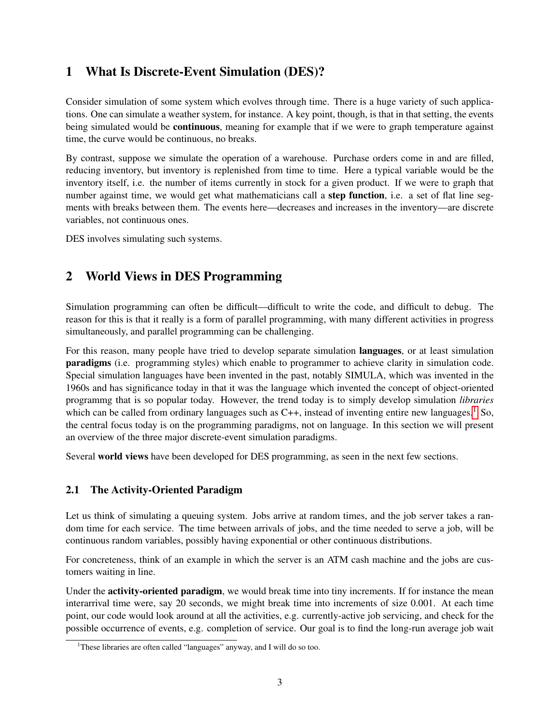## <span id="page-2-0"></span>1 What Is Discrete-Event Simulation (DES)?

Consider simulation of some system which evolves through time. There is a huge variety of such applications. One can simulate a weather system, for instance. A key point, though, is that in that setting, the events being simulated would be **continuous**, meaning for example that if we were to graph temperature against time, the curve would be continuous, no breaks.

By contrast, suppose we simulate the operation of a warehouse. Purchase orders come in and are filled, reducing inventory, but inventory is replenished from time to time. Here a typical variable would be the inventory itself, i.e. the number of items currently in stock for a given product. If we were to graph that number against time, we would get what mathematicians call a **step function**, i.e. a set of flat line segments with breaks between them. The events here—decreases and increases in the inventory—are discrete variables, not continuous ones.

DES involves simulating such systems.

## <span id="page-2-1"></span>2 World Views in DES Programming

Simulation programming can often be difficult—difficult to write the code, and difficult to debug. The reason for this is that it really is a form of parallel programming, with many different activities in progress simultaneously, and parallel programming can be challenging.

For this reason, many people have tried to develop separate simulation languages, or at least simulation paradigms (i.e. programming styles) which enable to programmer to achieve clarity in simulation code. Special simulation languages have been invented in the past, notably SIMULA, which was invented in the 1960s and has significance today in that it was the language which invented the concept of object-oriented programmg that is so popular today. However, the trend today is to simply develop simulation *libraries* which can be called from ordinary languages such as  $C_{++}$ , instead of inventing entire new languages.<sup>[1](#page-2-3)</sup> So, the central focus today is on the programming paradigms, not on language. In this section we will present an overview of the three major discrete-event simulation paradigms.

Several world views have been developed for DES programming, as seen in the next few sections.

## <span id="page-2-2"></span>2.1 The Activity-Oriented Paradigm

Let us think of simulating a queuing system. Jobs arrive at random times, and the job server takes a random time for each service. The time between arrivals of jobs, and the time needed to serve a job, will be continuous random variables, possibly having exponential or other continuous distributions.

For concreteness, think of an example in which the server is an ATM cash machine and the jobs are customers waiting in line.

Under the **activity-oriented paradigm**, we would break time into tiny increments. If for instance the mean interarrival time were, say 20 seconds, we might break time into increments of size 0.001. At each time point, our code would look around at all the activities, e.g. currently-active job servicing, and check for the possible occurrence of events, e.g. completion of service. Our goal is to find the long-run average job wait

<span id="page-2-3"></span><sup>&</sup>lt;sup>1</sup>These libraries are often called "languages" anyway, and I will do so too.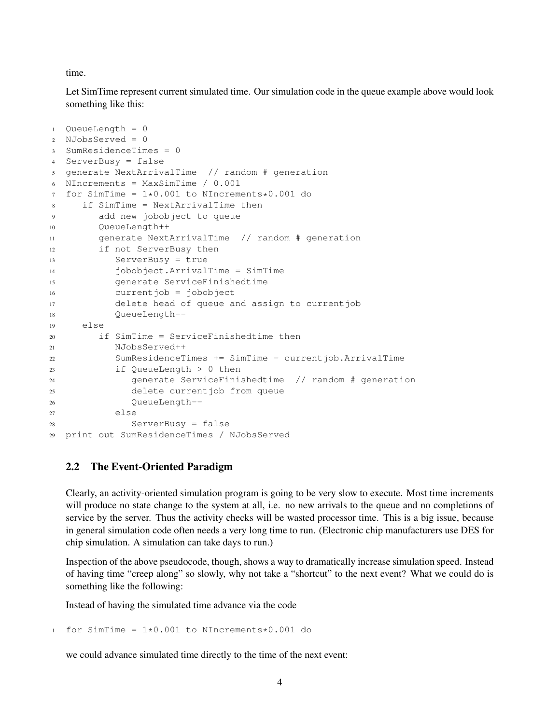time.

Let SimTime represent current simulated time. Our simulation code in the queue example above would look something like this:

```
1 QueueLength = 0
2 NJobsServed = 0
3 SumResidenceTimes = 0
4 ServerBusy = false
5 generate NextArrivalTime // random # generation
6 NIncrements = MaxSimTime / 0.001
7 for SimTime = 1*0.001 to NIncrements*0.001 do
8 if SimTime = NextArrivalTime then
9 add new jobobject to queue
10 QueueLength++
11 generate NextArrivalTime // random # generation
12 if not ServerBusy then
13 ServerBusy = true
14 jobobject.ArrivalTime = SimTime
15 generate ServiceFinishedtime
16 currentjob = jobobject
17 delete head of queue and assign to currentjob
18 QueueLength--
19 else
20 if SimTime = ServiceFinishedtime then
21 NJobsServed++
22 SumResidenceTimes += SimTime - currentjob.ArrivalTime
23 if QueueLength > 0 then
24 generate ServiceFinishedtime // random # generation
25 delete currentjob from queue
26 QueueLength--
27 else
28 ServerBusy = false
29 print out SumResidenceTimes / NJobsServed
```
## <span id="page-3-0"></span>2.2 The Event-Oriented Paradigm

Clearly, an activity-oriented simulation program is going to be very slow to execute. Most time increments will produce no state change to the system at all, i.e. no new arrivals to the queue and no completions of service by the server. Thus the activity checks will be wasted processor time. This is a big issue, because in general simulation code often needs a very long time to run. (Electronic chip manufacturers use DES for chip simulation. A simulation can take days to run.)

Inspection of the above pseudocode, though, shows a way to dramatically increase simulation speed. Instead of having time "creep along" so slowly, why not take a "shortcut" to the next event? What we could do is something like the following:

Instead of having the simulated time advance via the code

1 for SimTime =  $1*0.001$  to NIncrements $*0.001$  do

we could advance simulated time directly to the time of the next event: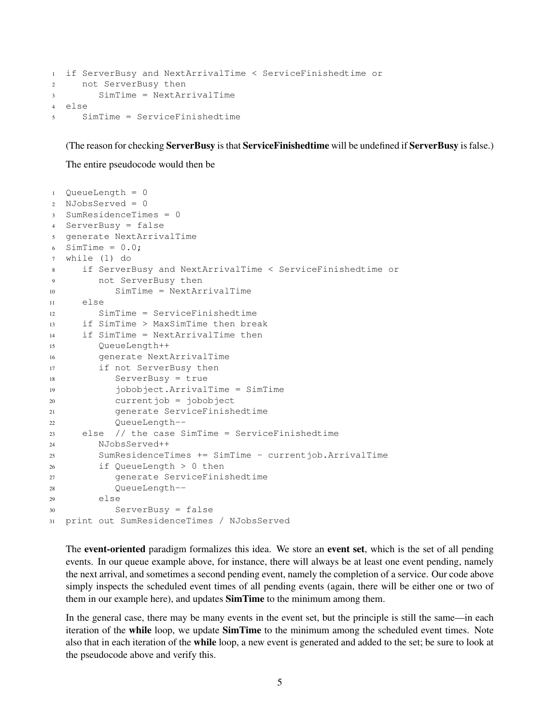```
1 if ServerBusy and NextArrivalTime < ServiceFinishedtime or
2 not ServerBusy then
3 SimTime = NextArrivalTime
4 else
5 SimTime = ServiceFinishedtime
```
(The reason for checking ServerBusy is that ServiceFinishedtime will be undefined if ServerBusy is false.)

The entire pseudocode would then be

```
1 QueueLength = 0
2 NJobsServed = 0
3 SumResidenceTimes = 0
4 ServerBusy = false
5 generate NextArrivalTime
6 SimTime = 0.0;
7 while (1) do
8 if ServerBusy and NextArrivalTime < ServiceFinishedtime or
9 not ServerBusy then
10 SimTime = NextArrivalTime
11 else
12 SimTime = ServiceFinishedtime
13 if SimTime > MaxSimTime then break
14 if SimTime = NextArrivalTime then
15 QueueLength++
16 generate NextArrivalTime
17 if not ServerBusy then
18 ServerBusy = true
19 jobobject.ArrivalTime = SimTime
20 currentjob = jobobject
21 generate ServiceFinishedtime
22 QueueLength--
23 else // the case SimTime = ServiceFinishedtime
24 NJobsServed++
25 SumResidenceTimes += SimTime - currentjob.ArrivalTime
26 if QueueLength > 0 then
27 generate ServiceFinishedtime
28 QueueLength--
29 else
30 ServerBusy = false
31 print out SumResidenceTimes / NJobsServed
```
The **event-oriented** paradigm formalizes this idea. We store an **event set**, which is the set of all pending events. In our queue example above, for instance, there will always be at least one event pending, namely the next arrival, and sometimes a second pending event, namely the completion of a service. Our code above simply inspects the scheduled event times of all pending events (again, there will be either one or two of them in our example here), and updates SimTime to the minimum among them.

In the general case, there may be many events in the event set, but the principle is still the same—in each iteration of the while loop, we update SimTime to the minimum among the scheduled event times. Note also that in each iteration of the while loop, a new event is generated and added to the set; be sure to look at the pseudocode above and verify this.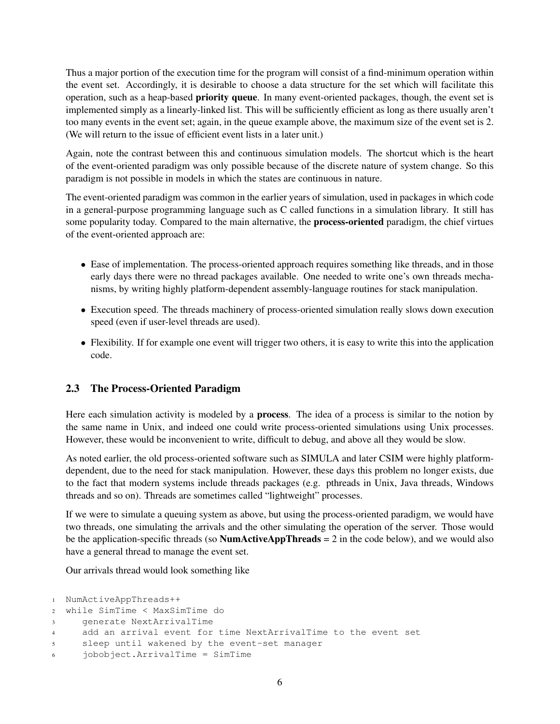Thus a major portion of the execution time for the program will consist of a find-minimum operation within the event set. Accordingly, it is desirable to choose a data structure for the set which will facilitate this operation, such as a heap-based priority queue. In many event-oriented packages, though, the event set is implemented simply as a linearly-linked list. This will be sufficiently efficient as long as there usually aren't too many events in the event set; again, in the queue example above, the maximum size of the event set is 2. (We will return to the issue of efficient event lists in a later unit.)

Again, note the contrast between this and continuous simulation models. The shortcut which is the heart of the event-oriented paradigm was only possible because of the discrete nature of system change. So this paradigm is not possible in models in which the states are continuous in nature.

The event-oriented paradigm was common in the earlier years of simulation, used in packages in which code in a general-purpose programming language such as C called functions in a simulation library. It still has some popularity today. Compared to the main alternative, the **process-oriented** paradigm, the chief virtues of the event-oriented approach are:

- Ease of implementation. The process-oriented approach requires something like threads, and in those early days there were no thread packages available. One needed to write one's own threads mechanisms, by writing highly platform-dependent assembly-language routines for stack manipulation.
- Execution speed. The threads machinery of process-oriented simulation really slows down execution speed (even if user-level threads are used).
- Flexibility. If for example one event will trigger two others, it is easy to write this into the application code.

## <span id="page-5-0"></span>2.3 The Process-Oriented Paradigm

Here each simulation activity is modeled by a **process**. The idea of a process is similar to the notion by the same name in Unix, and indeed one could write process-oriented simulations using Unix processes. However, these would be inconvenient to write, difficult to debug, and above all they would be slow.

As noted earlier, the old process-oriented software such as SIMULA and later CSIM were highly platformdependent, due to the need for stack manipulation. However, these days this problem no longer exists, due to the fact that modern systems include threads packages (e.g. pthreads in Unix, Java threads, Windows threads and so on). Threads are sometimes called "lightweight" processes.

If we were to simulate a queuing system as above, but using the process-oriented paradigm, we would have two threads, one simulating the arrivals and the other simulating the operation of the server. Those would be the application-specific threads (so  $NumActiveAppThreads = 2$  in the code below), and we would also have a general thread to manage the event set.

Our arrivals thread would look something like

```
1 NumActiveAppThreads++
2 while SimTime < MaxSimTime do
3 generate NextArrivalTime
4 add an arrival event for time NextArrivalTime to the event set
5 sleep until wakened by the event-set manager
6 jobobject.ArrivalTime = SimTime
```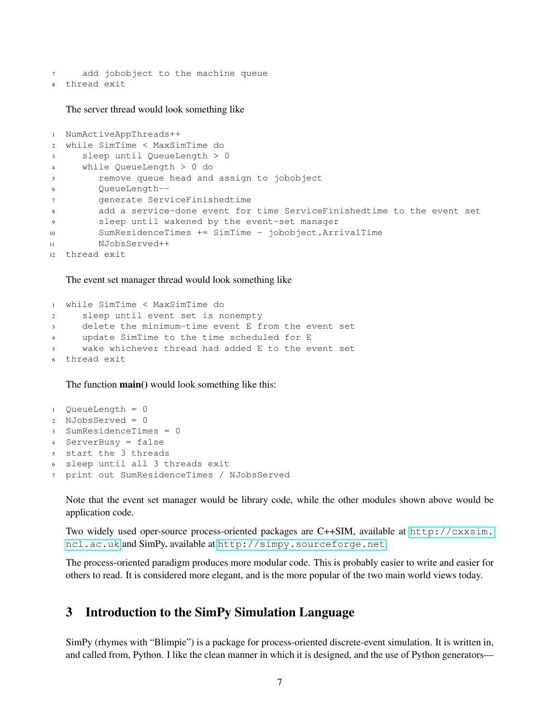add jobobject to the machine queue thread exit

The server thread would look something like

```
1 NumActiveAppThreads++
2 while SimTime < MaxSimTime do
3 sleep until QueueLength > 0
4 while QueueLength > 0 do
5 remove queue head and assign to jobobject
6 QueueLength--
7 generate ServiceFinishedtime
8 add a service-done event for time ServiceFinishedtime to the event set
9 sleep until wakened by the event-set manager
10 SumResidenceTimes += SimTime - jobobject.ArrivalTime
11 NJobsServed++
12 thread exit
```
#### The event set manager thread would look something like

```
1 while SimTime < MaxSimTime do
2 sleep until event set is nonempty
3 delete the minimum-time event E from the event set
4 update SimTime to the time scheduled for E
5 wake whichever thread had added E to the event set
 thread exit
```
The function **main**() would look something like this:

```
1 QueueLength = 0
2 NJobsServed = 0
3 SumResidenceTimes = 0
4 ServerBusy = false
5 start the 3 threads
6 sleep until all 3 threads exit
7 print out SumResidenceTimes / NJobsServed
```
Note that the event set manager would be library code, while the other modules shown above would be application code.

Two widely used oper-source process-oriented packages are C++SIM, available at [http://cxxsim.](http://cxxsim.ncl.ac.uk) [ncl.ac.uk](http://cxxsim.ncl.ac.uk) and SimPy, available at <http://simpy.sourceforge.net>.

The process-oriented paradigm produces more modular code. This is probably easier to write and easier for others to read. It is considered more elegant, and is the more popular of the two main world views today.

## <span id="page-6-0"></span>3 Introduction to the SimPy Simulation Language

SimPy (rhymes with "Blimpie") is a package for process-oriented discrete-event simulation. It is written in, and called from, Python. I like the clean manner in which it is designed, and the use of Python generators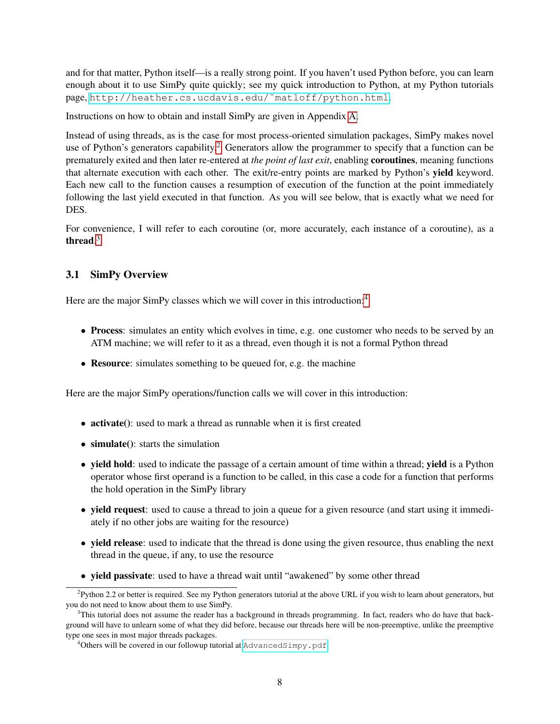and for that matter, Python itself—is a really strong point. If you haven't used Python before, you can learn enough about it to use SimPy quite quickly; see my quick introduction to Python, at my Python tutorials page, [http://heather.cs.ucdavis.edu/˜matloff/python.html](http://heather.cs.ucdavis.edu/~matloff/python.html).

Instructions on how to obtain and install SimPy are given in Appendix [A.](#page-28-1)

Instead of using threads, as is the case for most process-oriented simulation packages, SimPy makes novel use of Python's generators capability.<sup>[2](#page-7-1)</sup> Generators allow the programmer to specify that a function can be prematurely exited and then later re-entered at *the point of last exit*, enabling coroutines, meaning functions that alternate execution with each other. The exit/re-entry points are marked by Python's yield keyword. Each new call to the function causes a resumption of execution of the function at the point immediately following the last yield executed in that function. As you will see below, that is exactly what we need for DES.

For convenience, I will refer to each coroutine (or, more accurately, each instance of a coroutine), as a thread. $3$ 

## <span id="page-7-0"></span>3.1 SimPy Overview

Here are the major SimPy classes which we will cover in this introduction:<sup>[4](#page-7-3)</sup>

- Process: simulates an entity which evolves in time, e.g. one customer who needs to be served by an ATM machine; we will refer to it as a thread, even though it is not a formal Python thread
- Resource: simulates something to be queued for, e.g. the machine

Here are the major SimPy operations/function calls we will cover in this introduction:

- activate(): used to mark a thread as runnable when it is first created
- simulate(): starts the simulation
- yield hold: used to indicate the passage of a certain amount of time within a thread; yield is a Python operator whose first operand is a function to be called, in this case a code for a function that performs the hold operation in the SimPy library
- yield request: used to cause a thread to join a queue for a given resource (and start using it immediately if no other jobs are waiting for the resource)
- yield release: used to indicate that the thread is done using the given resource, thus enabling the next thread in the queue, if any, to use the resource
- yield passivate: used to have a thread wait until "awakened" by some other thread

<span id="page-7-1"></span><sup>&</sup>lt;sup>2</sup>Python 2.2 or better is required. See my Python generators tutorial at the above URL if you wish to learn about generators, but you do not need to know about them to use SimPy.

<span id="page-7-2"></span><sup>&</sup>lt;sup>3</sup>This tutorial does not assume the reader has a background in threads programming. In fact, readers who do have that background will have to unlearn some of what they did before, because our threads here will be non-preemptive, unlike the preemptive type one sees in most major threads packages.

<span id="page-7-3"></span><sup>&</sup>lt;sup>4</sup>Others will be covered in our followup tutorial at <AdvancedSimpy.pdf>.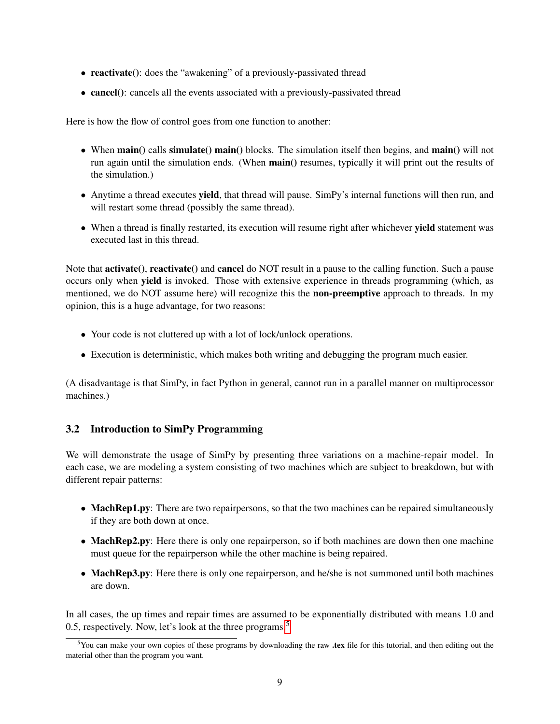- reactivate(): does the "awakening" of a previously-passivated thread
- cancel(): cancels all the events associated with a previously-passivated thread

Here is how the flow of control goes from one function to another:

- When main() calls simulate() main() blocks. The simulation itself then begins, and main() will not run again until the simulation ends. (When main() resumes, typically it will print out the results of the simulation.)
- Anytime a thread executes yield, that thread will pause. SimPy's internal functions will then run, and will restart some thread (possibly the same thread).
- When a thread is finally restarted, its execution will resume right after whichever **yield** statement was executed last in this thread.

Note that **activate**(), **reactivate**() and **cancel** do NOT result in a pause to the calling function. Such a pause occurs only when yield is invoked. Those with extensive experience in threads programming (which, as mentioned, we do NOT assume here) will recognize this the **non-preemptive** approach to threads. In my opinion, this is a huge advantage, for two reasons:

- Your code is not cluttered up with a lot of lock/unlock operations.
- Execution is deterministic, which makes both writing and debugging the program much easier.

(A disadvantage is that SimPy, in fact Python in general, cannot run in a parallel manner on multiprocessor machines.)

## <span id="page-8-0"></span>3.2 Introduction to SimPy Programming

We will demonstrate the usage of SimPy by presenting three variations on a machine-repair model. In each case, we are modeling a system consisting of two machines which are subject to breakdown, but with different repair patterns:

- MachRep1.py: There are two repairpersons, so that the two machines can be repaired simultaneously if they are both down at once.
- MachRep2.py: Here there is only one repairperson, so if both machines are down then one machine must queue for the repairperson while the other machine is being repaired.
- MachRep3.py: Here there is only one repairperson, and he/she is not summoned until both machines are down.

In all cases, the up times and repair times are assumed to be exponentially distributed with means 1.0 and 0.[5](#page-8-1), respectively. Now, let's look at the three programs.<sup>5</sup>

<span id="page-8-1"></span><sup>&</sup>lt;sup>5</sup>You can make your own copies of these programs by downloading the raw .tex file for this tutorial, and then editing out the material other than the program you want.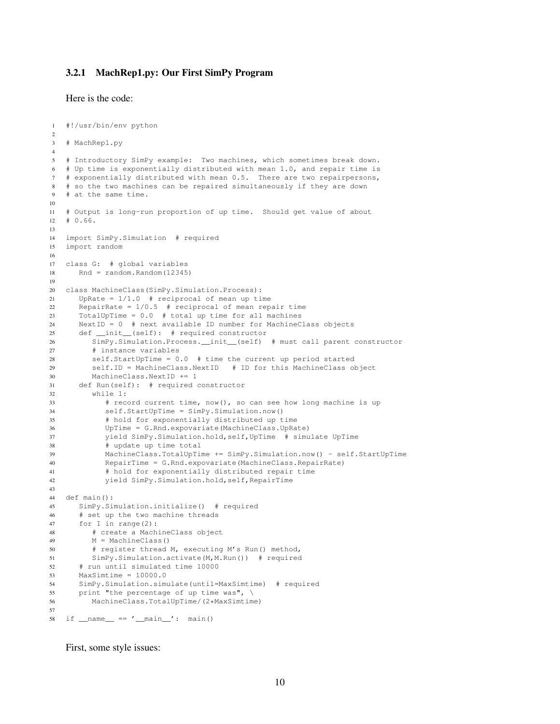#### <span id="page-9-0"></span>3.2.1 MachRep1.py: Our First SimPy Program

Here is the code:

```
1 #!/usr/bin/env python
2
3 # MachRep1.py
4
5 # Introductory SimPy example: Two machines, which sometimes break down.
6 # Up time is exponentially distributed with mean 1.0, and repair time is
7 # exponentially distributed with mean 0.5. There are two repairpersons,
8 # so the two machines can be repaired simultaneously if they are down
9 # at the same time.
10
11 # Output is long-run proportion of up time. Should get value of about
12 \div 0.66.
13
14 import SimPy.Simulation # required
15 import random
16
17 class G: # global variables
18 Rnd = random.Random(12345)
19
20 class MachineClass(SimPy.Simulation.Process):
21 UpRate = 1/1.0 # reciprocal of mean up time
22 RepairRate = 1/0.5 # reciprocal of mean repair time
23 TotalUpTime = 0.0 # total up time for all machines
24 NextID = 0 # next available ID number for MachineClass objects
25 def __init__(self): # required constructor
26 SimPy.Simulation.Process.__init__(self) # must call parent constructor
27 # instance variables
28 self.StartUpTime = 0.0 # time the current up period started
29 self.ID = MachineClass.NextID # ID for this MachineClass object
30 MachineClass.NextID += 1
31 def Run(self): # required constructor
32 while 1:
33 # record current time, now(), so can see how long machine is up
34 self.StartUpTime = SimPy.Simulation.now()
35 # hold for exponentially distributed up time
36 UpTime = G.Rnd.expovariate(MachineClass.UpRate)
37 yield SimPy.Simulation.hold,self,UpTime # simulate UpTime
38 # update up time total
39 MachineClass.TotalUpTime += SimPy.Simulation.now() - self.StartUpTime
40 RepairTime = G.Rnd.expovariate(MachineClass.RepairRate)
41 # hold for exponentially distributed repair time
42 yield SimPy.Simulation.hold,self,RepairTime
43
44 def main():
45 SimPy.Simulation.initialize() # required
46 # set up the two machine threads
47 for I in range(2):
48 # create a MachineClass object
49 M = MachineClass()
50 # register thread M, executing M's Run() method,
51 SimPy.Simulation.activate(M,M.Run()) # required
52 # run until simulated time 10000
53 MaxSimtime = 10000.054 SimPy.Simulation.simulate(until=MaxSimtime) # required
55 print "the percentage of up time was", \
56 MachineClass.TotalUpTime/(2*MaxSimtime)
57
58 if __name__ == '__main__': main()
```
First, some style issues: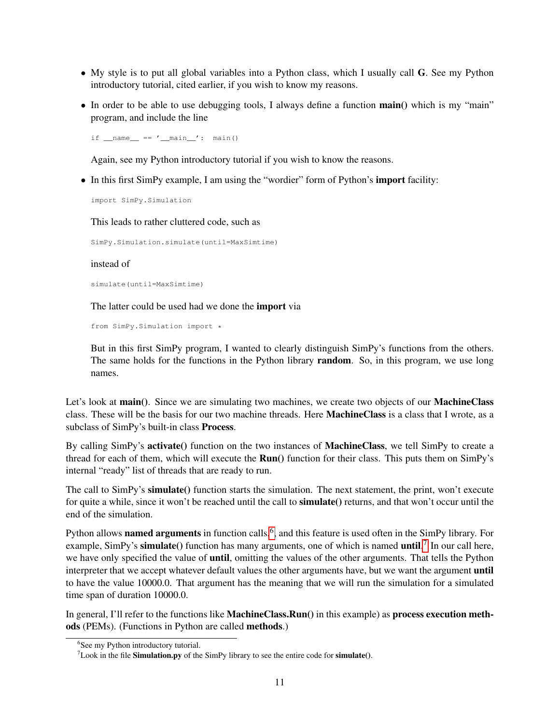- My style is to put all global variables into a Python class, which I usually call G. See my Python introductory tutorial, cited earlier, if you wish to know my reasons.
- In order to be able to use debugging tools, I always define a function **main**() which is my "main" program, and include the line

if  $name = 'main ': main()$ 

Again, see my Python introductory tutorial if you wish to know the reasons.

• In this first SimPy example, I am using the "wordier" form of Python's **import** facility:

import SimPy.Simulation

This leads to rather cluttered code, such as

SimPy.Simulation.simulate(until=MaxSimtime)

#### instead of

simulate(until=MaxSimtime)

The latter could be used had we done the import via

from SimPy.Simulation import \*

But in this first SimPy program, I wanted to clearly distinguish SimPy's functions from the others. The same holds for the functions in the Python library random. So, in this program, we use long names.

Let's look at main(). Since we are simulating two machines, we create two objects of our MachineClass class. These will be the basis for our two machine threads. Here **MachineClass** is a class that I wrote, as a subclass of SimPy's built-in class Process.

By calling SimPy's activate() function on the two instances of MachineClass, we tell SimPy to create a thread for each of them, which will execute the **Run**() function for their class. This puts them on SimPy's internal "ready" list of threads that are ready to run.

The call to SimPy's simulate() function starts the simulation. The next statement, the print, won't execute for quite a while, since it won't be reached until the call to simulate() returns, and that won't occur until the end of the simulation.

Python allows named arguments in function calls,<sup>[6](#page-10-0)</sup>, and this feature is used often in the SimPy library. For example, SimPy's simulate() function has many arguments, one of which is named until.<sup>[7](#page-10-1)</sup> In our call here, we have only specified the value of until, omitting the values of the other arguments. That tells the Python interpreter that we accept whatever default values the other arguments have, but we want the argument until to have the value 10000.0. That argument has the meaning that we will run the simulation for a simulated time span of duration 10000.0.

In general, I'll refer to the functions like **MachineClass.Run**() in this example) as **process execution meth**ods (PEMs). (Functions in Python are called methods.)

<span id="page-10-0"></span><sup>6</sup> See my Python introductory tutorial.

<span id="page-10-1"></span> $7$ Look in the file **Simulation.py** of the SimPy library to see the entire code for **simulate**().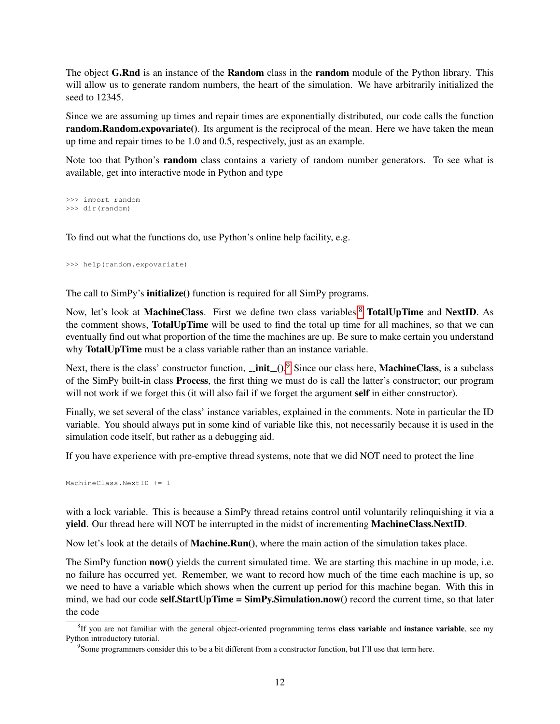The object G.Rnd is an instance of the Random class in the random module of the Python library. This will allow us to generate random numbers, the heart of the simulation. We have arbitrarily initialized the seed to 12345.

Since we are assuming up times and repair times are exponentially distributed, our code calls the function random.Random.expovariate(). Its argument is the reciprocal of the mean. Here we have taken the mean up time and repair times to be 1.0 and 0.5, respectively, just as an example.

Note too that Python's **random** class contains a variety of random number generators. To see what is available, get into interactive mode in Python and type

>>> import random >>> dir(random)

To find out what the functions do, use Python's online help facility, e.g.

>>> help(random.expovariate)

The call to SimPy's **initialize**() function is required for all SimPy programs.

Now, let's look at MachineClass. First we define two class variables,<sup>[8](#page-11-0)</sup> TotalUpTime and NextID. As the comment shows, TotalUpTime will be used to find the total up time for all machines, so that we can eventually find out what proportion of the time the machines are up. Be sure to make certain you understand why **TotalUpTime** must be a class variable rather than an instance variable.

Next, there is the class' constructor function,  $\text{__init__}()$ . Since our class here, **MachineClass**, is a subclass of the SimPy built-in class Process, the first thing we must do is call the latter's constructor; our program will not work if we forget this (it will also fail if we forget the argument self in either constructor).

Finally, we set several of the class' instance variables, explained in the comments. Note in particular the ID variable. You should always put in some kind of variable like this, not necessarily because it is used in the simulation code itself, but rather as a debugging aid.

If you have experience with pre-emptive thread systems, note that we did NOT need to protect the line

MachineClass.NextID += 1

with a lock variable. This is because a SimPy thread retains control until voluntarily relinquishing it via a yield. Our thread here will NOT be interrupted in the midst of incrementing MachineClass.NextID.

Now let's look at the details of **Machine.Run**(), where the main action of the simulation takes place.

The SimPy function **now**() yields the current simulated time. We are starting this machine in up mode, i.e. no failure has occurred yet. Remember, we want to record how much of the time each machine is up, so we need to have a variable which shows when the current up period for this machine began. With this in mind, we had our code self.StartUpTime =  $Simp<sub>V</sub>$ .Simulation.now() record the current time, so that later the code

<span id="page-11-0"></span><sup>&</sup>lt;sup>8</sup>If you are not familiar with the general object-oriented programming terms class variable and instance variable, see my Python introductory tutorial.

<span id="page-11-1"></span><sup>&</sup>lt;sup>9</sup> Some programmers consider this to be a bit different from a constructor function, but I'll use that term here.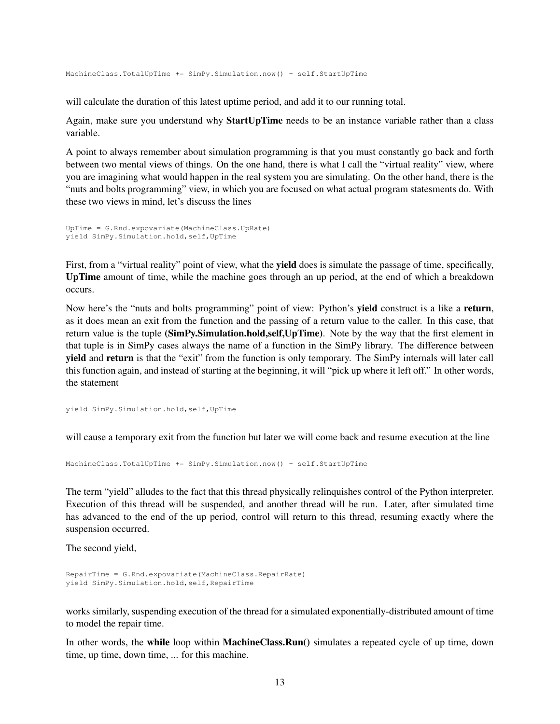MachineClass.TotalUpTime += SimPy.Simulation.now() - self.StartUpTime

will calculate the duration of this latest uptime period, and add it to our running total.

Again, make sure you understand why **StartUpTime** needs to be an instance variable rather than a class variable.

A point to always remember about simulation programming is that you must constantly go back and forth between two mental views of things. On the one hand, there is what I call the "virtual reality" view, where you are imagining what would happen in the real system you are simulating. On the other hand, there is the "nuts and bolts programming" view, in which you are focused on what actual program statesments do. With these two views in mind, let's discuss the lines

```
UpTime = G.Rnd.expovariate(MachineClass.UpRate)
yield SimPy.Simulation.hold,self,UpTime
```
First, from a "virtual reality" point of view, what the **yield** does is simulate the passage of time, specifically, UpTime amount of time, while the machine goes through an up period, at the end of which a breakdown occurs.

Now here's the "nuts and bolts programming" point of view: Python's yield construct is a like a return, as it does mean an exit from the function and the passing of a return value to the caller. In this case, that return value is the tuple (SimPy.Simulation.hold,self,UpTime). Note by the way that the first element in that tuple is in SimPy cases always the name of a function in the SimPy library. The difference between yield and return is that the "exit" from the function is only temporary. The SimPy internals will later call this function again, and instead of starting at the beginning, it will "pick up where it left off." In other words, the statement

yield SimPy.Simulation.hold,self,UpTime

will cause a temporary exit from the function but later we will come back and resume execution at the line

MachineClass.TotalUpTime += SimPy.Simulation.now() - self.StartUpTime

The term "yield" alludes to the fact that this thread physically relinquishes control of the Python interpreter. Execution of this thread will be suspended, and another thread will be run. Later, after simulated time has advanced to the end of the up period, control will return to this thread, resuming exactly where the suspension occurred.

The second yield,

```
RepairTime = G.Rnd.expovariate(MachineClass.RepairRate)
yield SimPy.Simulation.hold,self,RepairTime
```
works similarly, suspending execution of the thread for a simulated exponentially-distributed amount of time to model the repair time.

In other words, the while loop within MachineClass.Run() simulates a repeated cycle of up time, down time, up time, down time, ... for this machine.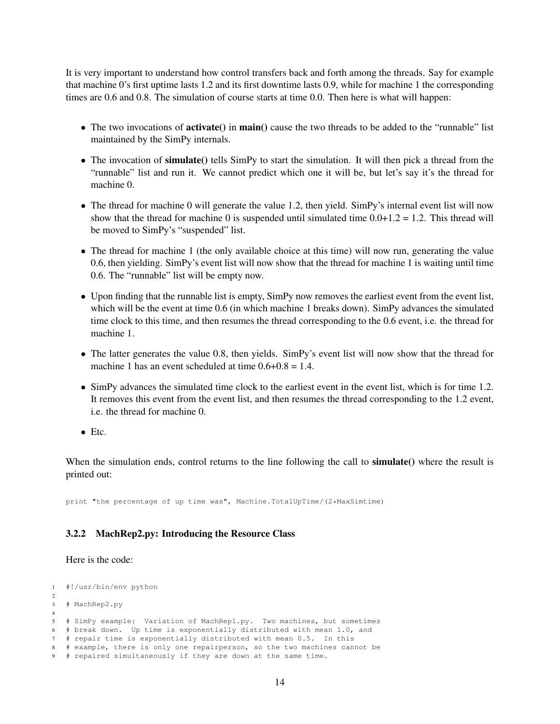It is very important to understand how control transfers back and forth among the threads. Say for example that machine 0's first uptime lasts 1.2 and its first downtime lasts 0.9, while for machine 1 the corresponding times are 0.6 and 0.8. The simulation of course starts at time 0.0. Then here is what will happen:

- The two invocations of **activate**() in **main**() cause the two threads to be added to the "runnable" list maintained by the SimPy internals.
- The invocation of simulate() tells SimPy to start the simulation. It will then pick a thread from the "runnable" list and run it. We cannot predict which one it will be, but let's say it's the thread for machine 0.
- The thread for machine 0 will generate the value 1.2, then yield. SimPy's internal event list will now show that the thread for machine 0 is suspended until simulated time  $0.0+1.2 = 1.2$ . This thread will be moved to SimPy's "suspended" list.
- The thread for machine 1 (the only available choice at this time) will now run, generating the value 0.6, then yielding. SimPy's event list will now show that the thread for machine 1 is waiting until time 0.6. The "runnable" list will be empty now.
- Upon finding that the runnable list is empty, SimPy now removes the earliest event from the event list, which will be the event at time 0.6 (in which machine 1 breaks down). SimPy advances the simulated time clock to this time, and then resumes the thread corresponding to the 0.6 event, i.e. the thread for machine 1.
- The latter generates the value 0.8, then yields. SimPy's event list will now show that the thread for machine 1 has an event scheduled at time  $0.6+0.8 = 1.4$ .
- SimPy advances the simulated time clock to the earliest event in the event list, which is for time 1.2. It removes this event from the event list, and then resumes the thread corresponding to the 1.2 event, i.e. the thread for machine 0.
- Etc.

When the simulation ends, control returns to the line following the call to **simulate**() where the result is printed out:

print "the percentage of up time was", Machine.TotalUpTime/(2\*MaxSimtime)

### <span id="page-13-0"></span>3.2.2 MachRep2.py: Introducing the Resource Class

#### Here is the code:

```
1 #!/usr/bin/env python
2
3 # MachRep2.py
4
5 # SimPy example: Variation of MachRep1.py. Two machines, but sometimes
6 # break down. Up time is exponentially distributed with mean 1.0, and
7 # repair time is exponentially distributed with mean 0.5. In this
8 # example, there is only one repairperson, so the two machines cannot be
9 # repaired simultaneously if they are down at the same time.
```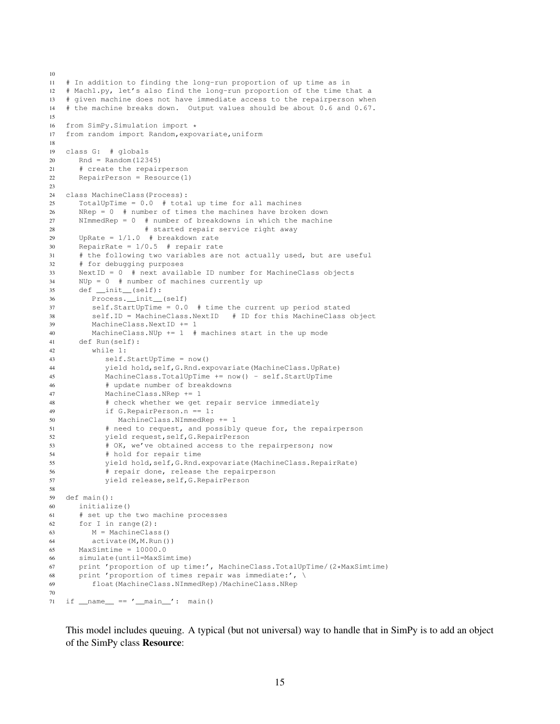```
10
11 # In addition to finding the long-run proportion of up time as in
12 # Mach1.py, let's also find the long-run proportion of the time that a
13 # given machine does not have immediate access to the repairperson when
14 # the machine breaks down. Output values should be about 0.6 and 0.67.
15
16 from SimPy.Simulation import *<br>17 from random import Random.expo
   from random import Random, expovariate, uniform
18
19 class G: # globals
20 Rnd = Random(12345)
21 # create the repairperson
22 RepairPerson = Resource(1)
23
24 class MachineClass(Process):
25 TotalUpTime = 0.0 # total up time for all machines
26 NRep = 0 # number of times the machines have broken down
27 NImmedRep = 0 # number of breakdowns in which the machine
28 # started repair service right away
29 UpRate = 1/1.0 # breakdown rate
30 RepairRate = 1/0.5 # repair rate
31 # the following two variables are not actually used, but are useful
32 # for debugging purposes
33 NextID = 0 # next available ID number for MachineClass objects
34 NUp = 0 # number of machines currently up
35 def __init__(self):
36 Process.__init__(self)
37 self.StartUpTime = 0.0 # time the current up period stated
38 self.ID = MachineClass.NextID # ID for this MachineClass object
39 MachineClass.NextID += 1
40 MachineClass.NUp += 1 # machines start in the up mode
41 def Run(self):
42 while 1:
43 self.StartUpTime = now()
44 yield hold,self,G.Rnd.expovariate(MachineClass.UpRate)
45 MachineClass.TotalUpTime += now() - self.StartUpTime
46 # update number of breakdowns
47 MachineClass.NRep += 1
48 # check whether we get repair service immediately
49 if G.RepairPerson.n == 1:
50 MachineClass.NImmedRep += 1
51 # need to request, and possibly queue for, the repairperson
52 yield request,self,G.RepairPerson
53 # OK, we've obtained access to the repairperson; now
54 # hold for repair time
55 yield hold,self,G.Rnd.expovariate(MachineClass.RepairRate)
56 # repair done, release the repairperson
57 yield release,self,G.RepairPerson
58
59 def main():
60 initialize()
61 # set up the two machine processes
62 for I in range(2):
63 M = MachineClass()
64 activate(M,M.Run())
65 MaxSimtime = 10000.0
66 simulate(until=MaxSimtime)
67 print 'proportion of up time:', MachineClass.TotalUpTime/(2*MaxSimtime)
68 print 'proportion of times repair was immediate:', \
69 float(MachineClass.NImmedRep)/MachineClass.NRep
70
71 if name = 'main ': main()
```
This model includes queuing. A typical (but not universal) way to handle that in SimPy is to add an object of the SimPy class Resource: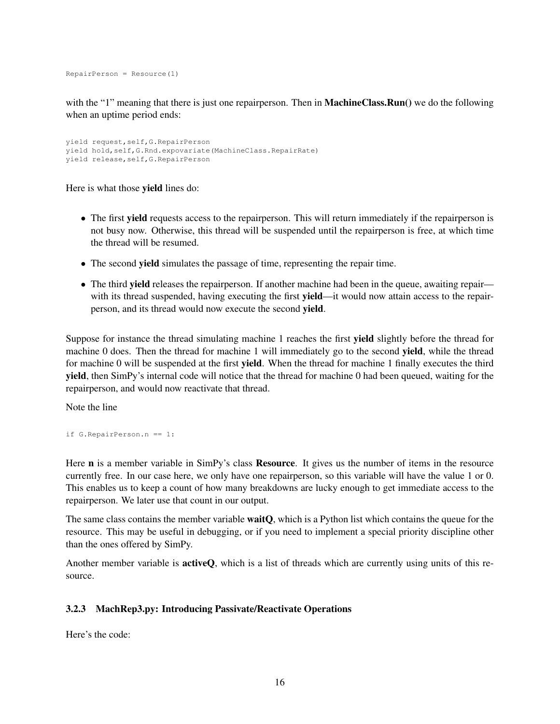RepairPerson = Resource(1)

with the "1" meaning that there is just one repairperson. Then in **MachineClass.Run**() we do the following when an uptime period ends:

```
yield request,self,G.RepairPerson
yield hold,self,G.Rnd.expovariate(MachineClass.RepairRate)
yield release,self,G.RepairPerson
```
Here is what those yield lines do:

- The first **yield** requests access to the repairperson. This will return immediately if the repairperson is not busy now. Otherwise, this thread will be suspended until the repairperson is free, at which time the thread will be resumed.
- The second yield simulates the passage of time, representing the repair time.
- The third **yield** releases the repairperson. If another machine had been in the queue, awaiting repair with its thread suspended, having executing the first yield—it would now attain access to the repairperson, and its thread would now execute the second yield.

Suppose for instance the thread simulating machine 1 reaches the first yield slightly before the thread for machine 0 does. Then the thread for machine 1 will immediately go to the second **yield**, while the thread for machine 0 will be suspended at the first yield. When the thread for machine 1 finally executes the third yield, then SimPy's internal code will notice that the thread for machine 0 had been queued, waiting for the repairperson, and would now reactivate that thread.

Note the line

if G.RepairPerson.n == 1:

Here **n** is a member variable in SimPy's class **Resource**. It gives us the number of items in the resource currently free. In our case here, we only have one repairperson, so this variable will have the value 1 or 0. This enables us to keep a count of how many breakdowns are lucky enough to get immediate access to the repairperson. We later use that count in our output.

The same class contains the member variable **waitQ**, which is a Python list which contains the queue for the resource. This may be useful in debugging, or if you need to implement a special priority discipline other than the ones offered by SimPy.

Another member variable is **activeQ**, which is a list of threads which are currently using units of this resource.

### <span id="page-15-0"></span>3.2.3 MachRep3.py: Introducing Passivate/Reactivate Operations

Here's the code: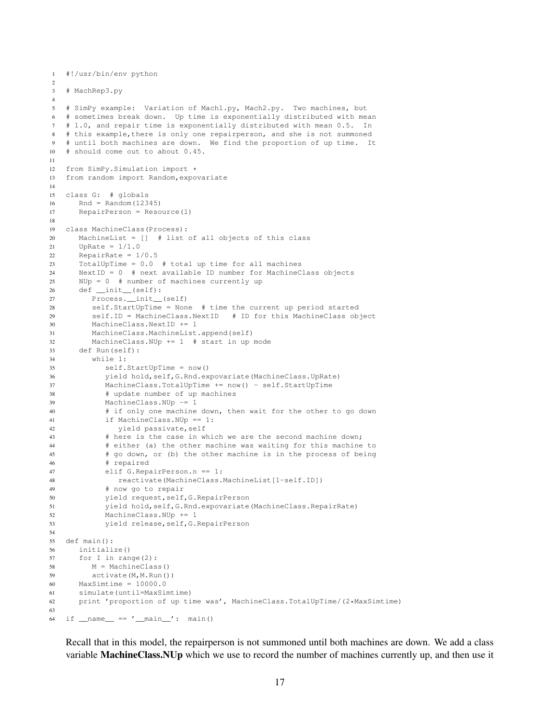```
1 #!/usr/bin/env python
2
3 # MachRep3.py
4
5 # SimPy example: Variation of Mach1.py, Mach2.py. Two machines, but
6 # sometimes break down. Up time is exponentially distributed with mean
7 # 1.0, and repair time is exponentially distributed with mean 0.5. In
8 # this example,there is only one repairperson, and she is not summoned
9 # until both machines are down. We find the proportion of up time. It
10 # should come out to about 0.45.
11
12 from SimPy.Simulation import *
13 from random import Random,expovariate
14
15 class G: # globals
16 Rnd = Random (12345)17 RepairPerson = Resource(1)
18
19 class MachineClass(Process):
20 MachineList = [] # list of all objects of this class
21 UpRate = 1/1.022 RepairRate = 1/0.5
23 TotalUpTime = 0.0 # total up time for all machines
24 NextID = 0 # next available ID number for MachineClass objects
25 NUp = 0 # number of machines currently up
26 def __init__(self):
27 Process.__init__(self)
28 self.StartUpTime = None # time the current up period started
29 self.ID = MachineClass.NextID # ID for this MachineClass object
30 MachineClass.NextID += 1
31 MachineClass.MachineList.append(self)
32 MachineClass.NUp += 1 # start in up mode
33 def Run(self):
34 while 1:
35 self.StartUpTime = now()
36 yield hold,self,G.Rnd.expovariate(MachineClass.UpRate)
37 MachineClass.TotalUpTime += now() - self.StartUpTime
38 # update number of up machines
39 MachineClass.NUp -= 1
40 # if only one machine down, then wait for the other to go down
41 if MachineClass.NUp == 1:
42 yield passivate, self
43 # here is the case in which we are the second machine down;
44 # either (a) the other machine was waiting for this machine to
45 # go down, or (b) the other machine is in the process of being
46 # repaired
47 elif G.RepairPerson.n == 1:
48 reactivate(MachineClass.MachineList[1-self.ID])
49 # now go to repair
50 yield request,self,G.RepairPerson
51 yield hold,self,G.Rnd.expovariate(MachineClass.RepairRate)
52 MachineClass.NUp += 1
53 yield release,self,G.RepairPerson
54
55 def main():
56 initialize()
57 for I in range(2):
58 M = MachineClass()
59 activate(M,M.Run())
60 MaxSimtime = 10000.0
61 simulate(until=MaxSimtime)
62 print 'proportion of up time was', MachineClass.TotalUpTime/(2*MaxSimtime)
63
64 if {\sf __name__} == {\sf '__main__}' : \text{ main()}
```
Recall that in this model, the repairperson is not summoned until both machines are down. We add a class variable MachineClass.NUp which we use to record the number of machines currently up, and then use it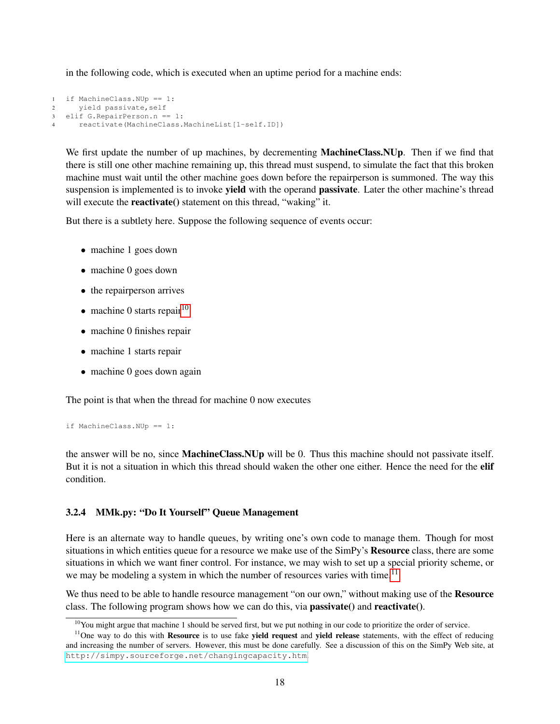in the following code, which is executed when an uptime period for a machine ends:

```
1 if MachineClass.NUp == 1:
2 yield passivate, self
3 elif G.RepairPerson.n == 1:
4 reactivate(MachineClass.MachineList[1-self.ID])
```
We first update the number of up machines, by decrementing **MachineClass.NUp**. Then if we find that there is still one other machine remaining up, this thread must suspend, to simulate the fact that this broken machine must wait until the other machine goes down before the repairperson is summoned. The way this suspension is implemented is to invoke yield with the operand passivate. Later the other machine's thread will execute the **reactivate**() statement on this thread, "waking" it.

But there is a subtlety here. Suppose the following sequence of events occur:

- machine 1 goes down
- machine 0 goes down
- the repairperson arrives
- machine 0 starts repair  $10$
- machine 0 finishes repair
- machine 1 starts repair
- machine 0 goes down again

The point is that when the thread for machine 0 now executes

```
if MachineClass.NUp == 1:
```
the answer will be no, since MachineClass.NUp will be 0. Thus this machine should not passivate itself. But it is not a situation in which this thread should waken the other one either. Hence the need for the **elif** condition.

### <span id="page-17-0"></span>3.2.4 MMk.py: "Do It Yourself" Queue Management

Here is an alternate way to handle queues, by writing one's own code to manage them. Though for most situations in which entities queue for a resource we make use of the SimPy's **Resource** class, there are some situations in which we want finer control. For instance, we may wish to set up a special priority scheme, or we may be modeling a system in which the number of resources varies with time.<sup>[11](#page-17-2)</sup>

We thus need to be able to handle resource management "on our own," without making use of the **Resource** class. The following program shows how we can do this, via **passivate**() and **reactivate**().

<span id="page-17-2"></span><span id="page-17-1"></span> $10$ You might argue that machine 1 should be served first, but we put nothing in our code to prioritize the order of service.

 $11$ One way to do this with **Resource** is to use fake **yield request** and **yield release** statements, with the effect of reducing and increasing the number of servers. However, this must be done carefully. See a discussion of this on the SimPy Web site, at <http://simpy.sourceforge.net/changingcapacity.htm>.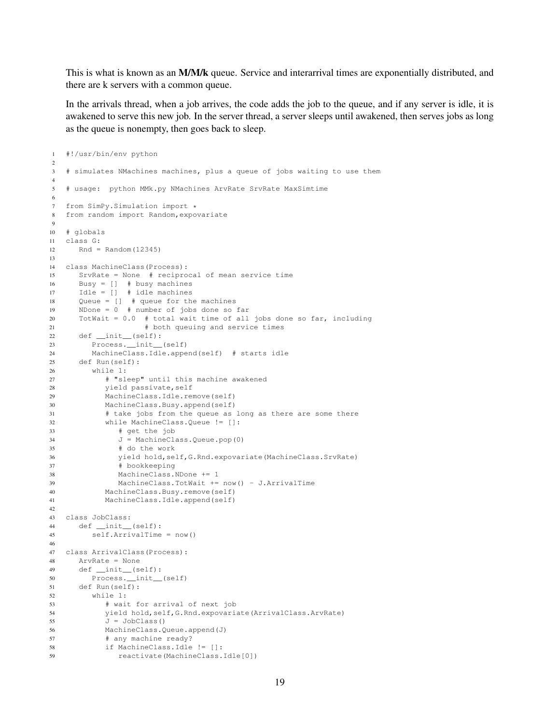This is what is known as an M/M/k queue. Service and interarrival times are exponentially distributed, and there are k servers with a common queue.

In the arrivals thread, when a job arrives, the code adds the job to the queue, and if any server is idle, it is awakened to serve this new job. In the server thread, a server sleeps until awakened, then serves jobs as long as the queue is nonempty, then goes back to sleep.

```
1 #!/usr/bin/env python
2
3 # simulates NMachines machines, plus a queue of jobs waiting to use them
4
5 # usage: python MMk.py NMachines ArvRate SrvRate MaxSimtime
6
7 from SimPy.Simulation import *<br>8 from random import Random.expo
  from random import Random, expovariate
9
10 # globals
11 class G:
12 Rnd = Random(12345)
13
14 class MachineClass(Process):
15 SrvRate = None # reciprocal of mean service time
16 Busy = [] # busy machines
17 Idle = [] # idle machines
18 Queue = [] # queue for the machines
19 NDone = 0 # number of jobs done so far
20 TotWait = 0.0 # total wait time of all jobs done so far, including
21 # both queuing and service times
22 def __init__(self):
23 Process.__init__(self)
24 MachineClass.Idle.append(self) # starts idle
25 def Run(self):
26 while 1:
27 # "sleep" until this machine awakened
28 yield passivate,self
29 MachineClass.Idle.remove(self)
30 MachineClass.Busy.append(self)
31 # take jobs from the queue as long as there are some there
32 while MachineClass.Queue != []:
33 # get the job
34 J = MachineClass.Queue.pop(0)
35 # do the work
36 yield hold,self,G.Rnd.expovariate(MachineClass.SrvRate)
37 # bookkeeping
38 MachineClass.NDone += 1
39 MachineClass.TotWait += now() - J.ArrivalTime
40 MachineClass.Busy.remove(self)
41 MachineClass.Idle.append(self)
42
43 class JobClass:
44 def __init__(self):
45 self.ArrivalTime = now()
46
47 class ArrivalClass(Process):
48 ArvRate = None
49 def __init__(self):
50 Process.__init__(self)
51 def Run(self):
52 while 1:
53 # wait for arrival of next job
54 yield hold,self,G.Rnd.expovariate(ArrivalClass.ArvRate)
J = JobClass()56 MachineClass.Queue.append(J)
57 # any machine ready?
58 if MachineClass.Idle != []:
59 reactivate(MachineClass.Idle[0])
```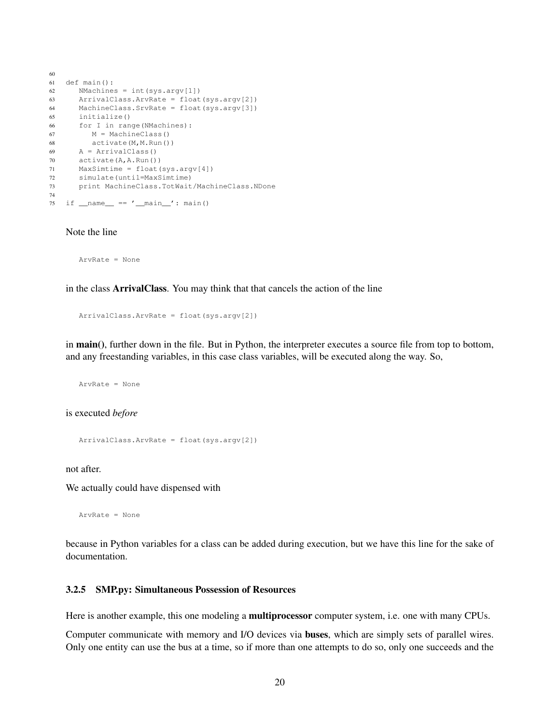```
60
61 def main():
62 NMachines = int(sys.argv[1])
63 ArrivalClass.ArvRate = float(sys.argv[2])
64 MachineClass.SrvRate = float(sys.argv[3])
65 initialize()
66 for I in range(NMachines):
67 M = MachineClass()
68 activate(M,M.Run())
69 A = ArrivalClass()
70 activate(A,A.Run())
71 MaxSimtime = float(sys.argv[4])
72 simulate(until=MaxSimtime)
73 print MachineClass.TotWait/MachineClass.NDone
74
75 if _name_ = = ' \_main_ ': main()
```
Note the line

ArvRate = None

in the class ArrivalClass. You may think that that cancels the action of the line

ArrivalClass.ArvRate = float(sys.argv[2])

in main(), further down in the file. But in Python, the interpreter executes a source file from top to bottom, and any freestanding variables, in this case class variables, will be executed along the way. So,

ArvRate = None

is executed *before*

ArrivalClass.ArvRate = float(sys.argv[2])

not after.

We actually could have dispensed with

ArvRate = None

because in Python variables for a class can be added during execution, but we have this line for the sake of documentation.

#### <span id="page-19-0"></span>3.2.5 SMP.py: Simultaneous Possession of Resources

Here is another example, this one modeling a **multiprocessor** computer system, i.e. one with many CPUs.

Computer communicate with memory and I/O devices via buses, which are simply sets of parallel wires. Only one entity can use the bus at a time, so if more than one attempts to do so, only one succeeds and the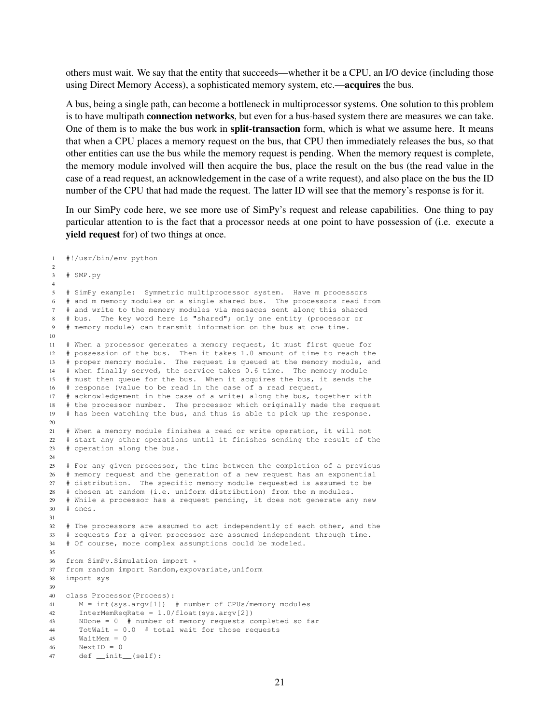others must wait. We say that the entity that succeeds—whether it be a CPU, an I/O device (including those using Direct Memory Access), a sophisticated memory system, etc.—acquires the bus.

A bus, being a single path, can become a bottleneck in multiprocessor systems. One solution to this problem is to have multipath connection networks, but even for a bus-based system there are measures we can take. One of them is to make the bus work in **split-transaction** form, which is what we assume here. It means that when a CPU places a memory request on the bus, that CPU then immediately releases the bus, so that other entities can use the bus while the memory request is pending. When the memory request is complete, the memory module involved will then acquire the bus, place the result on the bus (the read value in the case of a read request, an acknowledgement in the case of a write request), and also place on the bus the ID number of the CPU that had made the request. The latter ID will see that the memory's response is for it.

In our SimPy code here, we see more use of SimPy's request and release capabilities. One thing to pay particular attention to is the fact that a processor needs at one point to have possession of (i.e. execute a yield request for) of two things at once.

```
1 #!/usr/bin/env python
\overline{2}3 # SMP.py
4
5 # SimPy example: Symmetric multiprocessor system. Have m processors
6 # and m memory modules on a single shared bus. The processors read from
7 # and write to the memory modules via messages sent along this shared
8 # bus. The key word here is "shared"; only one entity (processor or
9 # memory module) can transmit information on the bus at one time.
10
11 # When a processor generates a memory request, it must first queue for
12 # possession of the bus. Then it takes 1.0 amount of time to reach the
13 # proper memory module. The request is queued at the memory module, and
14 # when finally served, the service takes 0.6 time. The memory module
15 # must then queue for the bus. When it acquires the bus, it sends the
16 # response (value to be read in the case of a read request,
17 # acknowledgement in the case of a write) along the bus, together with
18 # the processor number. The processor which originally made the request
19 # has been watching the bus, and thus is able to pick up the response.
20
21 # When a memory module finishes a read or write operation, it will not
22 # start any other operations until it finishes sending the result of the
23 # operation along the bus.
24
25 # For any given processor, the time between the completion of a previous
26 # memory request and the generation of a new request has an exponential
27 # distribution. The specific memory module requested is assumed to be
28 # chosen at random (i.e. uniform distribution) from the m modules.
29 # While a processor has a request pending, it does not generate any new
30 # ones.
31
32 # The processors are assumed to act independently of each other, and the
33 # requests for a given processor are assumed independent through time.
34 # Of course, more complex assumptions could be modeled.
35
36 from SimPy.Simulation import *<br>37 from random import Random.expo
   from random import Random, expovariate, uniform
38 import sys
39
40 class Processor(Process):
41 M = int(sys.argv[1]) # number of CPUs/memory modules
42 InterMemReqRate = 1.0/float(sys.argv[2])
43 NDone = 0 # number of memory requests completed so far
44 TotWait = 0.0 # total wait for those requests
45 WaitMem = 0
46 Next ID = 0
47 def __init__(self):
```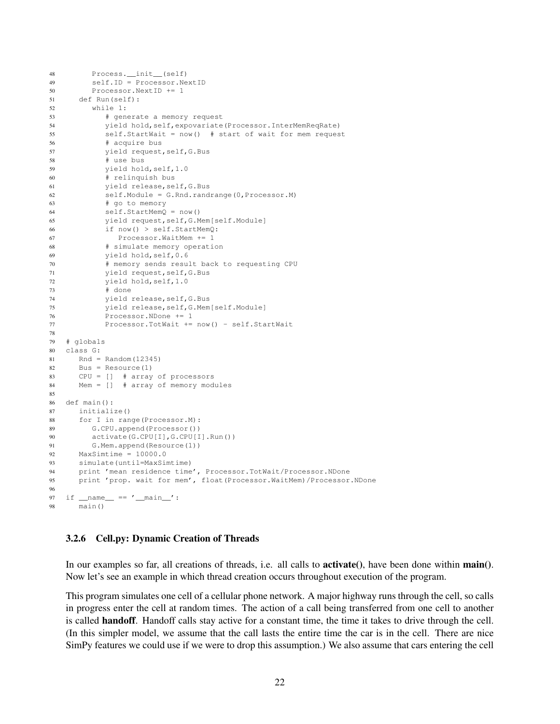```
48 Process.__init__(self)
49 self.ID = Processor.NextID
50 Processor.NextID += 1
51 def Run(self):
52 while 1:
53 # generate a memory request
54 yield hold,self,expovariate(Processor.InterMemReqRate)
55 self.StartWait = now() # start of wait for mem request
56 # acquire bus
57 yield request,self,G.Bus
58 # use bus
59 yield hold,self,1.0
60 # relinquish bus
61 yield release,self,G.Bus
62 self.Module = G.Rnd.randrange(0,Processor.M)
63 # go to memory
64 self.StartMemQ = now()
65 yield request,self,G.Mem[self.Module]
66 if now() > self.StartMemQ:
67 Processor.WaitMem += 1
68 # simulate memory operation
69 yield hold,self,0.6
70 # memory sends result back to requesting CPU
71 yield request,self,G.Bus
72 yield hold,self,1.0
73 # done
74 yield release,self,G.Bus
75 yield release,self,G.Mem[self.Module]
76 Processor.NDone += 1
77 Processor.TotWait += now() - self.StartWait
78
79 # globals
80 class G:
81 Rnd = Random (12345)
82 Bus = Resource(1)
83 CPU = [] # array of processors
84 Mem = [] # array of memory modules
85
86 def main():
87 initialize()
88 for I in range(Processor.M):
89 G.CPU.append(Processor())
90 activate(G.CPU[I],G.CPU[I].Run())
91 G.Mem.append(Resource(1))
92 MaxSimtime = 10000.0
93 simulate(until=MaxSimtime)
94 print 'mean residence time', Processor.TotWait/Processor.NDone
95 print 'prop. wait for mem', float(Processor.WaitMem)/Processor.NDone
96
97 if {\_}name{\_} == {\_}' {\_}main{\_}':
98 main()
```
#### <span id="page-21-0"></span>3.2.6 Cell.py: Dynamic Creation of Threads

In our examples so far, all creations of threads, i.e. all calls to **activate**(), have been done within **main**(). Now let's see an example in which thread creation occurs throughout execution of the program.

This program simulates one cell of a cellular phone network. A major highway runs through the cell, so calls in progress enter the cell at random times. The action of a call being transferred from one cell to another is called **handoff**. Handoff calls stay active for a constant time, the time it takes to drive through the cell. (In this simpler model, we assume that the call lasts the entire time the car is in the cell. There are nice SimPy features we could use if we were to drop this assumption.) We also assume that cars entering the cell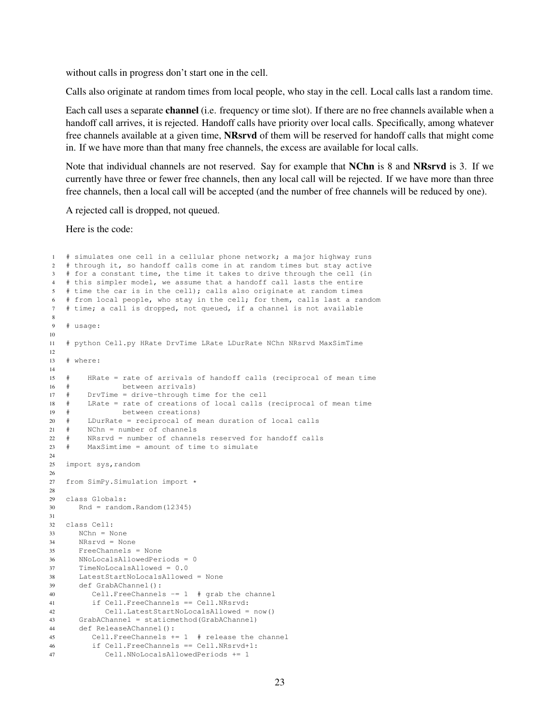without calls in progress don't start one in the cell.

Calls also originate at random times from local people, who stay in the cell. Local calls last a random time.

Each call uses a separate channel (i.e. frequency or time slot). If there are no free channels available when a handoff call arrives, it is rejected. Handoff calls have priority over local calls. Specifically, among whatever free channels available at a given time, NRsrvd of them will be reserved for handoff calls that might come in. If we have more than that many free channels, the excess are available for local calls.

Note that individual channels are not reserved. Say for example that NChn is 8 and NRsrvd is 3. If we currently have three or fewer free channels, then any local call will be rejected. If we have more than three free channels, then a local call will be accepted (and the number of free channels will be reduced by one).

A rejected call is dropped, not queued.

Here is the code:

```
1 # simulates one cell in a cellular phone network; a major highway runs
2 # through it, so handoff calls come in at random times but stay active
3 # for a constant time, the time it takes to drive through the cell (in
   4 # this simpler model, we assume that a handoff call lasts the entire
5 # time the car is in the cell); calls also originate at random times
6 # from local people, who stay in the cell; for them, calls last a random
7 # time; a call is dropped, not queued, if a channel is not available
8
9 + usage:
10
11 # python Cell.py HRate DrvTime LRate LDurRate NChn NRsrvd MaxSimTime
12
13 # where:
14
15 # HRate = rate of arrivals of handoff calls (reciprocal of mean time
16 # between arrivals)
17 # DrvTime = drive-through time for the cell
18 # LRate = rate of creations of local calls (reciprocal of mean time
19 # between creations)
20 # LDurRate = reciprocal of mean duration of local calls
21 # NChn = number of channels
22 # NRsrvd = number of channels reserved for handoff calls
23 # MaxSimtime = amount of time to simulate
24
25 import sys,random
26
27 from SimPy.Simulation import *
28
29 class Globals:
30 Rnd = random.Random(12345)
31
32 class Cell:
33 NChn = None
34 NRsrvd = None
35 FreeChannels = None
36 NNoLocalsAllowedPeriods = 0
37 TimeNoLocalsAllowed = 0.0
38 LatestStartNoLocalsAllowed = None
39 def GrabAChannel():
40 Cell.FreeChannels -= 1 # grab the channel
41 if Cell.FreeChannels == Cell.NRsrvd:
42 Cell.LatestStartNoLocalsAllowed = now()
43 GrabAChannel = staticmethod(GrabAChannel)
44 def ReleaseAChannel():
45 Cell.FreeChannels += 1 # release the channel
46 if Cell.FreeChannels == Cell.NRsrvd+1:
47 Cell.NNoLocalsAllowedPeriods += 1
```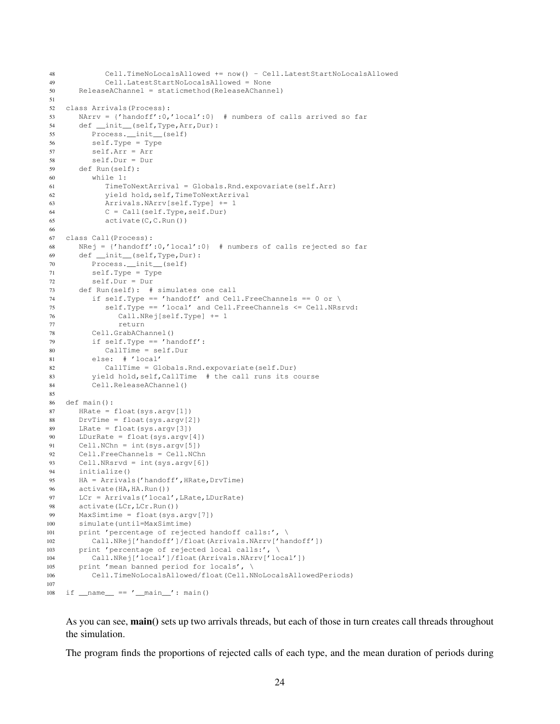```
48 Cell.TimeNoLocalsAllowed += now() - Cell.LatestStartNoLocalsAllowed
49 Cell.LatestStartNoLocalsAllowed = None
50 ReleaseAChannel = staticmethod(ReleaseAChannel)
51
52 class Arrivals(Process):
53 NArrv = {'handoff':0,'local':0} # numbers of calls arrived so far
54 def __init__(self,Type,Arr,Dur):
55 Process.__init__(self)
56 self.Type = Type
57 self.Arr = Arr
58 self.Dur = Dur
59 def Run(self):
60 while 1:
61 TimeToNextArrival = Globals.Rnd.expovariate(self.Arr)
62 yield hold,self,TimeToNextArrival
63 Arrivals.NArrv[self.Type] += 1
64 C = Call(self.Type,self.Dur)
65 \qquad \qquad \text{active}(C, C, Run())66
67 class Call(Process):
68 NRej = {'handoff':0,'local':0} # numbers of calls rejected so far
69 def __init__(self,Type,Dur):
70 Process.__init__(self)
71 self.Type = Type
72 self.Dur = Dur
73 def Run(self): # simulates one call
74 if self.Type == 'handoff' and Cell.FreeChannels == 0 or \
75 self.Type == 'local' and Cell.FreeChannels <= Cell.NRsrvd:
76 Call.NRej[self.Type] += 1
77 return
78 Cell.GrabAChannel()
79 if self.Type == 'handoff':
80 CallTime = self.Dur
81 else: # 'local'
82 CallTime = Globals.Rnd.expovariate(self.Dur)
83 yield hold,self,CallTime # the call runs its course
84 Cell.ReleaseAChannel()
85
86 def main():
87 HRate = float(sys.argv[1])
88 DrvTime = float(sys.argv[2])
89 LRate = float(sys.argv[3])
90 LDurRate = float(sys.argv[4])
91 Cell.NChn = int(sys.argv[5])
92 Cell.FreeChannels = Cell.NChn
93 Cell.NRsrvd = int(sys.argv[6])
94 initialize()
95 HA = Arrivals('handoff',HRate,DrvTime)
96 activate (HA, HA. Run())
97 LCr = Arrivals('local',LRate,LDurRate)
98 activate(LCr, LCr.Run())
99 MaxSimtime = float(sys.argv[7])
100 simulate(until=MaxSimtime)
101 print 'percentage of rejected handoff calls:', \
102 Call.NRej['handoff']/float(Arrivals.NArrv['handoff'])
103 print 'percentage of rejected local calls:', \
104 Call.NRej['local']/float(Arrivals.NArrv['local'])
105 print 'mean banned period for locals', \
106 Cell.TimeNoLocalsAllowed/float(Cell.NNoLocalsAllowedPeriods)
107
108 if {\rm __name}\_ = {\rm '__main}\_ ' : \text{main}()
```
As you can see, **main**() sets up two arrivals threads, but each of those in turn creates call threads throughout the simulation.

The program finds the proportions of rejected calls of each type, and the mean duration of periods during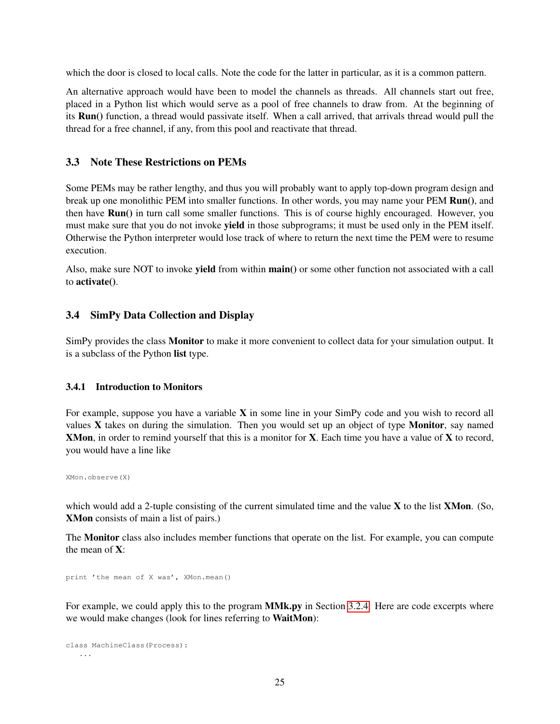which the door is closed to local calls. Note the code for the latter in particular, as it is a common pattern.

An alternative approach would have been to model the channels as threads. All channels start out free, placed in a Python list which would serve as a pool of free channels to draw from. At the beginning of its Run() function, a thread would passivate itself. When a call arrived, that arrivals thread would pull the thread for a free channel, if any, from this pool and reactivate that thread.

## <span id="page-24-0"></span>3.3 Note These Restrictions on PEMs

Some PEMs may be rather lengthy, and thus you will probably want to apply top-down program design and break up one monolithic PEM into smaller functions. In other words, you may name your PEM Run(), and then have Run() in turn call some smaller functions. This is of course highly encouraged. However, you must make sure that you do not invoke yield in those subprograms; it must be used only in the PEM itself. Otherwise the Python interpreter would lose track of where to return the next time the PEM were to resume execution.

Also, make sure NOT to invoke yield from within main() or some other function not associated with a call to activate().

## <span id="page-24-1"></span>3.4 SimPy Data Collection and Display

SimPy provides the class Monitor to make it more convenient to collect data for your simulation output. It is a subclass of the Python list type.

### <span id="page-24-2"></span>3.4.1 Introduction to Monitors

For example, suppose you have a variable  $X$  in some line in your SimPy code and you wish to record all values  $X$  takes on during the simulation. Then you would set up an object of type **Monitor**, say named XMon, in order to remind yourself that this is a monitor for X. Each time you have a value of X to record, you would have a line like

XMon.observe(X)

which would add a 2-tuple consisting of the current simulated time and the value  $X$  to the list  $XMon.$  (So, XMon consists of main a list of pairs.)

The Monitor class also includes member functions that operate on the list. For example, you can compute the mean of X:

print 'the mean of X was', XMon.mean()

For example, we could apply this to the program **MMk.py** in Section [3.2.4.](#page-17-0) Here are code excerpts where we would make changes (look for lines referring to WaitMon):

```
class MachineClass(Process):
   ...
```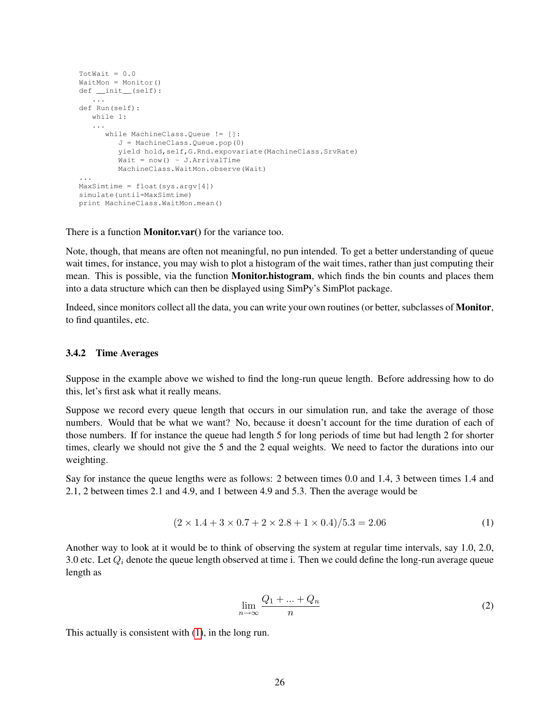```
TotWait = 0.0WaitMon = Monitor()
def __init__(self):
   ...
def Run(self):
  while 1:
   ...
      while MachineClass.Queue != []:
         J = MachineClass.Queue.pop(0)
         yield hold,self,G.Rnd.expovariate(MachineClass.SrvRate)
         Wait = now() - J.ArrivalTimeMachineClass.WaitMon.observe(Wait)
...
MaxSimtime = float(sys.argv[4])
simulate(until=MaxSimtime)
print MachineClass.WaitMon.mean()
```
There is a function **Monitor.var**() for the variance too.

Note, though, that means are often not meaningful, no pun intended. To get a better understanding of queue wait times, for instance, you may wish to plot a histogram of the wait times, rather than just computing their mean. This is possible, via the function **Monitor.histogram**, which finds the bin counts and places them into a data structure which can then be displayed using SimPy's SimPlot package.

Indeed, since monitors collect all the data, you can write your own routines (or better, subclasses of Monitor, to find quantiles, etc.

#### <span id="page-25-0"></span>3.4.2 Time Averages

Suppose in the example above we wished to find the long-run queue length. Before addressing how to do this, let's first ask what it really means.

Suppose we record every queue length that occurs in our simulation run, and take the average of those numbers. Would that be what we want? No, because it doesn't account for the time duration of each of those numbers. If for instance the queue had length 5 for long periods of time but had length 2 for shorter times, clearly we should not give the 5 and the 2 equal weights. We need to factor the durations into our weighting.

<span id="page-25-1"></span>Say for instance the queue lengths were as follows: 2 between times 0.0 and 1.4, 3 between times 1.4 and 2.1, 2 between times 2.1 and 4.9, and 1 between 4.9 and 5.3. Then the average would be

$$
(2 \times 1.4 + 3 \times 0.7 + 2 \times 2.8 + 1 \times 0.4)/5.3 = 2.06
$$
 (1)

<span id="page-25-2"></span>Another way to look at it would be to think of observing the system at regular time intervals, say 1.0, 2.0, 3.0 etc. Let  $Q_i$  denote the queue length observed at time i. Then we could define the long-run average queue length as

$$
\lim_{n \to \infty} \frac{Q_1 + \dots + Q_n}{n} \tag{2}
$$

This actually is consistent with [\(1\)](#page-25-1), in the long run.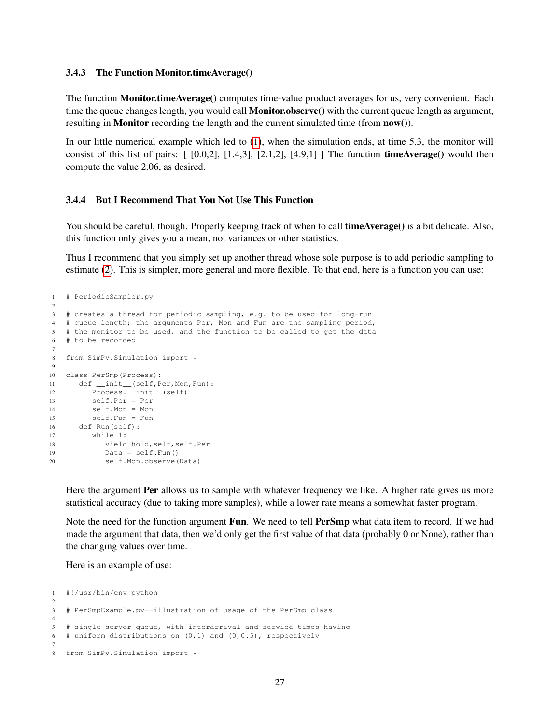#### <span id="page-26-0"></span>3.4.3 The Function Monitor.timeAverage()

The function Monitor.timeAverage() computes time-value product averages for us, very convenient. Each time the queue changes length, you would call **Monitor.observe**() with the current queue length as argument, resulting in **Monitor** recording the length and the current simulated time (from **now**()).

In our little numerical example which led to [\(1\)](#page-25-1), when the simulation ends, at time 5.3, the monitor will consist of this list of pairs:  $[0.0,2]$ ,  $[1.4,3]$ ,  $[2.1,2]$ ,  $[4.9,1]$  ] The function **timeAverage**() would then compute the value 2.06, as desired.

#### <span id="page-26-1"></span>3.4.4 But I Recommend That You Not Use This Function

You should be careful, though. Properly keeping track of when to call **timeAverage**() is a bit delicate. Also, this function only gives you a mean, not variances or other statistics.

Thus I recommend that you simply set up another thread whose sole purpose is to add periodic sampling to estimate [\(2\)](#page-25-2). This is simpler, more general and more flexible. To that end, here is a function you can use:

```
1 # PeriodicSampler.py
\overline{2}3 # creates a thread for periodic sampling, e.g. to be used for long-run
4 # queue length; the arguments Per, Mon and Fun are the sampling period,
5 # the monitor to be used, and the function to be called to get the data
6 # to be recorded
7
8 from SimPy.Simulation import *
\mathbf{Q}10 class PerSmp(Process):
11 def __init__(self,Per,Mon,Fun):
12 Process.__init__(self)
13 self.Per = Per
14 self.Mon = Mon
15 self.Fun = Fun
16 def Run(self):
17 while 1:
18 yield hold,self,self.Per
19 Data = self.Fun()
20 self.Mon.observe(Data)
```
Here the argument **Per** allows us to sample with whatever frequency we like. A higher rate gives us more statistical accuracy (due to taking more samples), while a lower rate means a somewhat faster program.

Note the need for the function argument Fun. We need to tell PerSmp what data item to record. If we had made the argument that data, then we'd only get the first value of that data (probably 0 or None), rather than the changing values over time.

Here is an example of use:

```
1 #!/usr/bin/env python
2
3 # PerSmpExample.py--illustration of usage of the PerSmp class
4
5 # single-server queue, with interarrival and service times having
6 # uniform distributions on (0,1) and (0,0.5), respectively
7
8 from SimPy.Simulation import *
```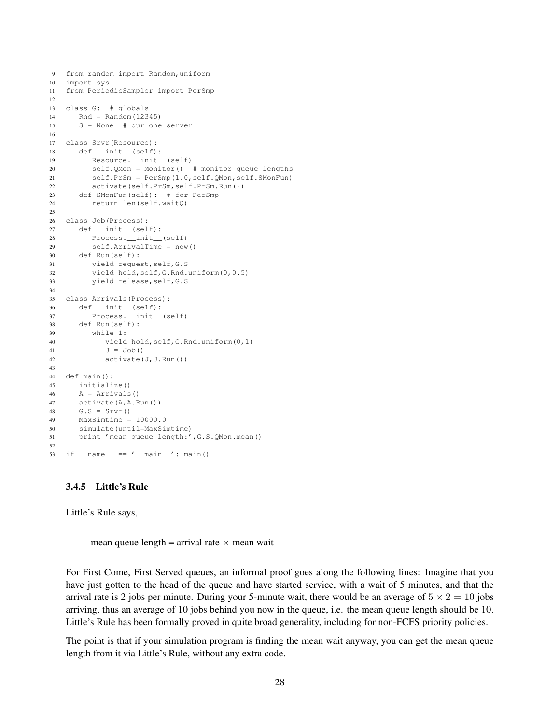```
9 from random import Random,uniform
10 import sys
11 from PeriodicSampler import PerSmp
12
13 class G: # globals
14 Rnd = Random(12345)
15 S = None # our one server
16
17 class Srvr(Resource):
18 def __init__(self):
19 Resource.__init__(self)
20 self.QMon = Monitor() # monitor queue lengths
21 self.PrSm = PerSmp(1.0,self.QMon,self.SMonFun)
22 activate(self.PrSm,self.PrSm.Run())
23 def SMonFun(self): # for PerSmp
24 return len(self.waitQ)
25
26 class Job(Process):
27 def __init__(self):
28 Process.__init__(self)
29 self.ArrivalTime = now()
30 def Run(self):
31 yield request,self,G.S
32 yield hold,self,G.Rnd.uniform(0,0.5)
33 yield release,self,G.S
34
35 class Arrivals(Process):
36 def __init__(self):
37 Process.__init__(self)
38 def Run(self):
39 while 1:
40 yield hold,self,G.Rnd.uniform(0,1)
41 J = Job()42 activate(J,J.Run())
43
44 def main():
45 initialize()
46 A = Arrivals()47 activate(A,A.Run())
48 G.S = Srvr()49 MaxSimtime = 10000.0
50 simulate(until=MaxSimtime)
51 print 'mean queue length:',G.S.QMon.mean()
52
53 if _name_ = ' \text{main} ': main()
```
#### <span id="page-27-0"></span>3.4.5 Little's Rule

Little's Rule says,

mean queue length = arrival rate  $\times$  mean wait

For First Come, First Served queues, an informal proof goes along the following lines: Imagine that you have just gotten to the head of the queue and have started service, with a wait of 5 minutes, and that the arrival rate is 2 jobs per minute. During your 5-minute wait, there would be an average of  $5 \times 2 = 10$  jobs arriving, thus an average of 10 jobs behind you now in the queue, i.e. the mean queue length should be 10. Little's Rule has been formally proved in quite broad generality, including for non-FCFS priority policies.

The point is that if your simulation program is finding the mean wait anyway, you can get the mean queue length from it via Little's Rule, without any extra code.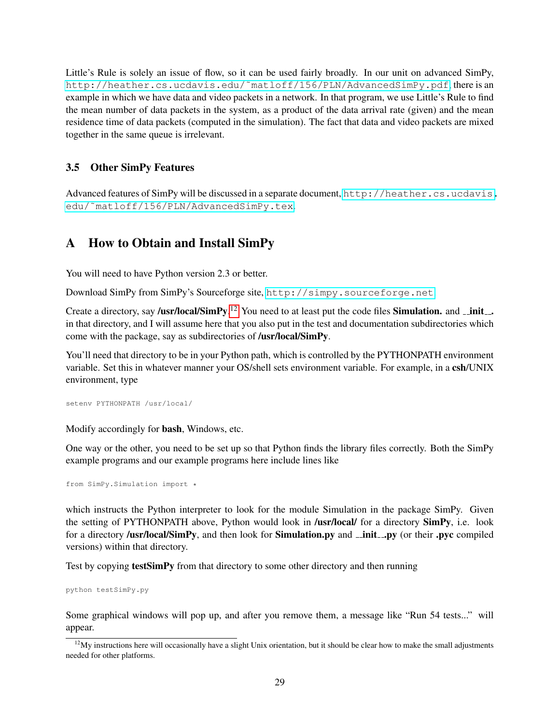Little's Rule is solely an issue of flow, so it can be used fairly broadly. In our unit on advanced SimPy, [http://heather.cs.ucdavis.edu/˜matloff/156/PLN/AdvancedSimPy.pdf](http://heather.cs.ucdavis.edu/~matloff/156/PLN/AdvancedSimPy.pdf), there is an example in which we have data and video packets in a network. In that program, we use Little's Rule to find the mean number of data packets in the system, as a product of the data arrival rate (given) and the mean residence time of data packets (computed in the simulation). The fact that data and video packets are mixed together in the same queue is irrelevant.

## <span id="page-28-0"></span>3.5 Other SimPy Features

Advanced features of SimPy will be discussed in a separate document, [http://heather.cs.ucdavis.](http://heather.cs.ucdavis.edu/~matloff/156/PLN/AdvancedSimPy.tex) [edu/˜matloff/156/PLN/AdvancedSimPy.tex](http://heather.cs.ucdavis.edu/~matloff/156/PLN/AdvancedSimPy.tex).

## <span id="page-28-1"></span>A How to Obtain and Install SimPy

You will need to have Python version 2.3 or better.

Download SimPy from SimPy's Sourceforge site, <http://simpy.sourceforge.net>.

Create a directory, say /usr/local/SimPy.<sup>[12](#page-28-2)</sup> You need to at least put the code files Simulation. and  $\_\_init\_\_$ . in that directory, and I will assume here that you also put in the test and documentation subdirectories which come with the package, say as subdirectories of /usr/local/SimPy.

You'll need that directory to be in your Python path, which is controlled by the PYTHONPATH environment variable. Set this in whatever manner your OS/shell sets environment variable. For example, in a csh/UNIX environment, type

setenv PYTHONPATH /usr/local/

Modify accordingly for bash, Windows, etc.

One way or the other, you need to be set up so that Python finds the library files correctly. Both the SimPy example programs and our example programs here include lines like

from SimPy.Simulation import \*

which instructs the Python interpreter to look for the module Simulation in the package SimPy. Given the setting of PYTHONPATH above, Python would look in /usr/local/ for a directory SimPy, i.e. look for a directory /usr/local/SimPy, and then look for Simulation.py and \_init\_\_py (or their .pyc compiled versions) within that directory.

Test by copying **testSimPy** from that directory to some other directory and then running

python testSimPy.py

Some graphical windows will pop up, and after you remove them, a message like "Run 54 tests..." will appear.

<span id="page-28-2"></span> $12$ My instructions here will occasionally have a slight Unix orientation, but it should be clear how to make the small adjustments needed for other platforms.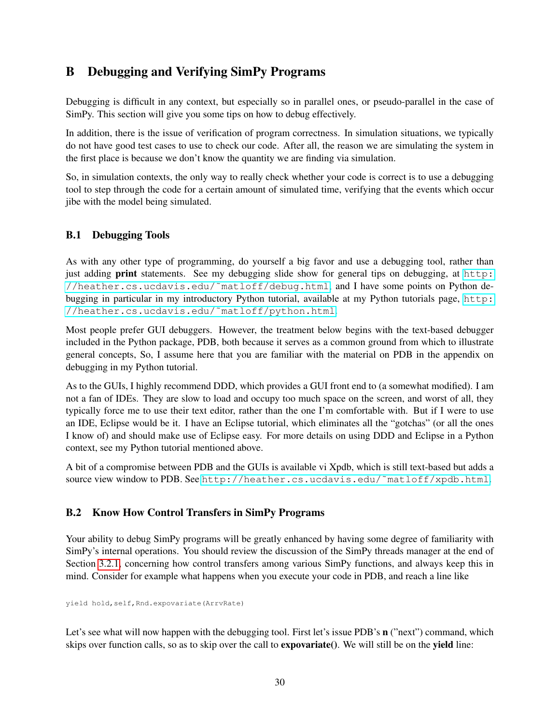## <span id="page-29-0"></span>B Debugging and Verifying SimPy Programs

Debugging is difficult in any context, but especially so in parallel ones, or pseudo-parallel in the case of SimPy. This section will give you some tips on how to debug effectively.

In addition, there is the issue of verification of program correctness. In simulation situations, we typically do not have good test cases to use to check our code. After all, the reason we are simulating the system in the first place is because we don't know the quantity we are finding via simulation.

So, in simulation contexts, the only way to really check whether your code is correct is to use a debugging tool to step through the code for a certain amount of simulated time, verifying that the events which occur jibe with the model being simulated.

## <span id="page-29-1"></span>B.1 Debugging Tools

As with any other type of programming, do yourself a big favor and use a debugging tool, rather than just adding print statements. See my debugging slide show for general tips on debugging, at [http:](http://heather.cs.ucdavis.edu/~matloff/debug.html) [//heather.cs.ucdavis.edu/˜matloff/debug.html](http://heather.cs.ucdavis.edu/~matloff/debug.html), and I have some points on Python debugging in particular in my introductory Python tutorial, available at my Python tutorials page, [http:](http://heather.cs.ucdavis.edu/~matloff/python.html) [//heather.cs.ucdavis.edu/˜matloff/python.html](http://heather.cs.ucdavis.edu/~matloff/python.html).

Most people prefer GUI debuggers. However, the treatment below begins with the text-based debugger included in the Python package, PDB, both because it serves as a common ground from which to illustrate general concepts, So, I assume here that you are familiar with the material on PDB in the appendix on debugging in my Python tutorial.

As to the GUIs, I highly recommend DDD, which provides a GUI front end to (a somewhat modified). I am not a fan of IDEs. They are slow to load and occupy too much space on the screen, and worst of all, they typically force me to use their text editor, rather than the one I'm comfortable with. But if I were to use an IDE, Eclipse would be it. I have an Eclipse tutorial, which eliminates all the "gotchas" (or all the ones I know of) and should make use of Eclipse easy. For more details on using DDD and Eclipse in a Python context, see my Python tutorial mentioned above.

A bit of a compromise between PDB and the GUIs is available vi Xpdb, which is still text-based but adds a source view window to PDB. See [http://heather.cs.ucdavis.edu/˜matloff/xpdb.html](http://heather.cs.ucdavis.edu/~matloff/xpdb.html).

## <span id="page-29-2"></span>B.2 Know How Control Transfers in SimPy Programs

Your ability to debug SimPy programs will be greatly enhanced by having some degree of familiarity with SimPy's internal operations. You should review the discussion of the SimPy threads manager at the end of Section [3.2.1,](#page-9-0) concerning how control transfers among various SimPy functions, and always keep this in mind. Consider for example what happens when you execute your code in PDB, and reach a line like

yield hold,self,Rnd.expovariate(ArrvRate)

Let's see what will now happen with the debugging tool. First let's issue PDB's  $n$  ("next") command, which skips over function calls, so as to skip over the call to **expovariate**(). We will still be on the **yield** line: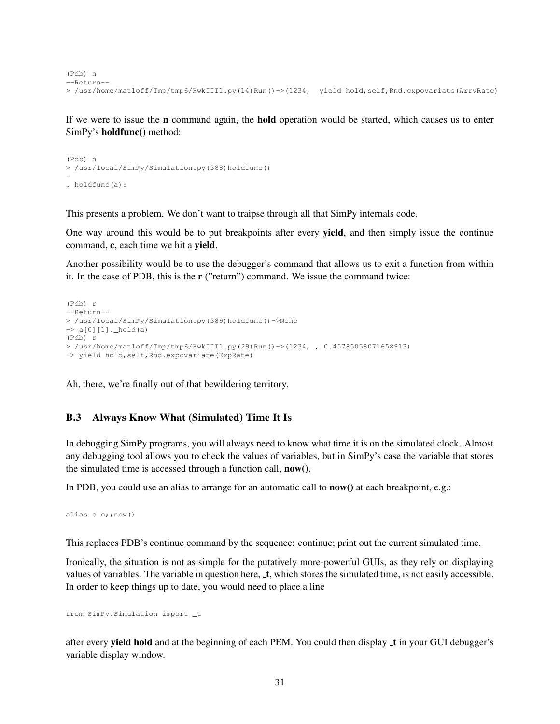```
(Pdb) n
--Return--
> /usr/home/matloff/Tmp/tmp6/HwkIII1.py(14)Run()->(1234, yield hold,self,Rnd.expovariate(ArrvRate)
```
If we were to issue the n command again, the hold operation would be started, which causes us to enter SimPy's holdfunc() method:

```
(Pdb) n
> /usr/local/SimPy/Simulation.py(388)holdfunc()
-
. holdfunc(a):
```
This presents a problem. We don't want to traipse through all that SimPy internals code.

One way around this would be to put breakpoints after every yield, and then simply issue the continue command, c, each time we hit a yield.

Another possibility would be to use the debugger's command that allows us to exit a function from within it. In the case of PDB, this is the r ("return") command. We issue the command twice:

```
(Pdb) r
--Return--
> /usr/local/SimPy/Simulation.py(389)holdfunc()->None
\rightarrow a[0][1]._hold(a)
(Pdb) r
> /usr/home/matloff/Tmp/tmp6/HwkIII1.py(29)Run()->(1234, , 0.45785058071658913)
-> yield hold, self, Rnd.expovariate(ExpRate)
```
Ah, there, we're finally out of that bewildering territory.

## <span id="page-30-0"></span>B.3 Always Know What (Simulated) Time It Is

In debugging SimPy programs, you will always need to know what time it is on the simulated clock. Almost any debugging tool allows you to check the values of variables, but in SimPy's case the variable that stores the simulated time is accessed through a function call, now().

In PDB, you could use an alias to arrange for an automatic call to **now**() at each breakpoint, e.g.:

alias  $c$   $c$ ; now()

This replaces PDB's continue command by the sequence: continue; print out the current simulated time.

Ironically, the situation is not as simple for the putatively more-powerful GUIs, as they rely on displaying values of variables. The variable in question here,  $\pm$ , which stores the simulated time, is not easily accessible. In order to keep things up to date, you would need to place a line

from SimPy.Simulation import \_t

after every yield hold and at the beginning of each PEM. You could then display t in your GUI debugger's variable display window.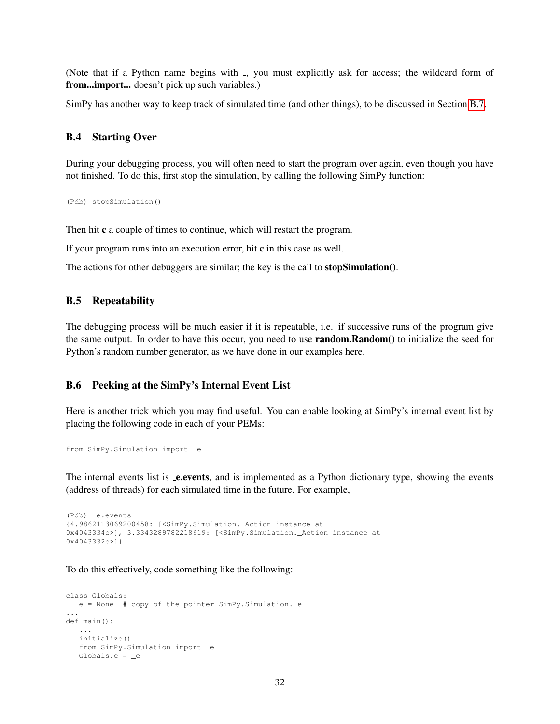(Note that if a Python name begins with , you must explicitly ask for access; the wildcard form of from...import... doesn't pick up such variables.)

SimPy has another way to keep track of simulated time (and other things), to be discussed in Section [B.7.](#page-32-0)

#### <span id="page-31-0"></span>B.4 Starting Over

During your debugging process, you will often need to start the program over again, even though you have not finished. To do this, first stop the simulation, by calling the following SimPy function:

(Pdb) stopSimulation()

Then hit c a couple of times to continue, which will restart the program.

If your program runs into an execution error, hit c in this case as well.

The actions for other debuggers are similar; the key is the call to **stopSimulation**().

### <span id="page-31-1"></span>B.5 Repeatability

The debugging process will be much easier if it is repeatable, i.e. if successive runs of the program give the same output. In order to have this occur, you need to use **random.Random**() to initialize the seed for Python's random number generator, as we have done in our examples here.

#### <span id="page-31-2"></span>B.6 Peeking at the SimPy's Internal Event List

Here is another trick which you may find useful. You can enable looking at SimPy's internal event list by placing the following code in each of your PEMs:

```
from SimPy.Simulation import _e
```
The internal events list is **e.events**, and is implemented as a Python dictionary type, showing the events (address of threads) for each simulated time in the future. For example,

```
(Pdb) _e.events
{4.9862113069200458: [<SimPy.Simulation._Action instance at
0x4043334c>], 3.3343289782218619: [<SimPy.Simulation._Action instance at
0x4043332c>]}
```
To do this effectively, code something like the following:

```
class Globals:
  e = None \# copy of the pointer SimPy. Simulation. e...
def main():
   ...
  initialize()
   from SimPy.Simulation import e
  Globals.e = _e
```